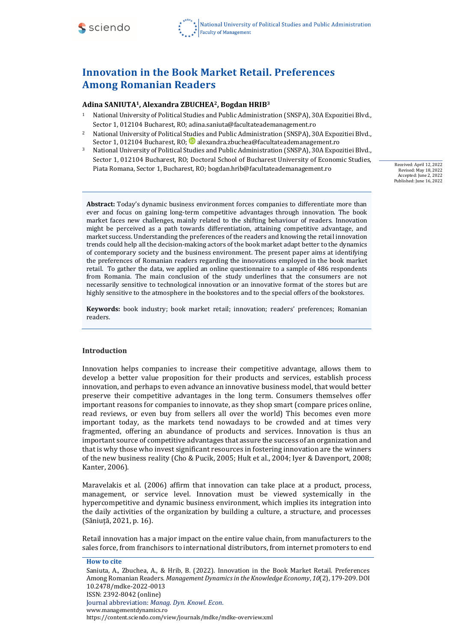

# **Innovation in the Book Market Retail. Preferences Among Romanian Readers**

#### **Adina SANIUTA1, Alexandra ZBUCHEA2, Bogdan HRIB<sup>3</sup>**

- <sup>1</sup> National University of Political Studies and Public Administration (SNSPA), 30A Expozitiei Blvd., Sector 1, 012104 Bucharest, RO; [adina.saniuta@facultateademanagement.ro](mailto:adina.saniuta@facultateademanagement.ro)
- <sup>2</sup> National University of Political Studies and Public Administration (SNSPA), 30A Expozitiei Blvd., Sector 1, 012104 Bucharest, RO; [alexandra.zbuchea@facultateademanagement.ro](mailto:alexandra.zbuchea@facultateademanagement.ro)
- <sup>3</sup> National University of Political Studies and Public Administration (SNSPA), 30A Expozitiei Blvd., Sector 1, 012104 Bucharest, RO; Doctoral School of Bucharest University of Economic Studies, Piata Romana, Sector 1, Bucharest, RO; [bogdan.hrib@facultateademanagement.ro](mailto:bogdan.hrib@facultateademanagement.ro)

Received: April 12, 2022 Revised: May 18, 2022 Accepted: June 2, 2022 Published: June 16, 2022

**Abstract:** Today's dynamic business environment forces companies to differentiate more than ever and focus on gaining long-term competitive advantages through innovation. The book market faces new challenges, mainly related to the shifting behaviour of readers. Innovation might be perceived as a path towards differentiation, attaining competitive advantage, and market success. Understanding the preferences of the readers and knowing the retail innovation trends could help all the decision-making actors of the book market adapt better to the dynamics of contemporary society and the business environment. The present paper aims at identifying the preferences of Romanian readers regarding the innovations employed in the book market retail. To gather the data, we applied an online questionnaire to a sample of 486 respondents from Romania. The main conclusion of the study underlines that the consumers are not necessarily sensitive to technological innovation or an innovative format of the stores but are highly sensitive to the atmosphere in the bookstores and to the special offers of the bookstores.

**Keywords:** book industry; book market retail; innovation; readers' preferences; Romanian readers.

#### **Introduction**

Innovation helps companies to increase their competitive advantage, allows them to develop a better value proposition for their products and services, establish process innovation, and perhaps to even advance an innovative business model, that would better preserve their competitive advantages in the long term. Consumers themselves offer important reasons for companies to innovate, as they shop smart (compare prices online, read reviews, or even buy from sellers all over the world) This becomes even more important today, as the markets tend nowadays to be crowded and at times very fragmented, offering an abundance of products and services. Innovation is thus an important source of competitive advantages that assure the success of an organization and that is why those who invest significant resources in fostering innovation are the winners of the new business reality (Cho & Pucik, 2005; Hult et al., 2004; Iyer & Davenport, 2008; Kanter, 2006).

Maravelakis et al. (2006) affirm that innovation can take place at a product, process, management, or service level. Innovation must be viewed systemically in the hypercompetitive and dynamic business environment, which implies its integration into the daily activities of the organization by building a culture, a structure, and processes (Săniuță, 2021, p. 16).

Retail innovation has a major impact on the entire value chain, from manufacturers to the sales force, from franchisors to international distributors, from internet promoters to end

**How to cite**

Saniuta, A., Zbuchea, A., & Hrib, B. (2022). Innovation in the Book Market Retail. Preferences Among Romanian Readers. *Management Dynamics in the Knowledge Economy*, *10*(2), 179-209. DOI 10.2478/mdke-2022-0013 ISSN: 2392-8042 (online) Journal abbreviation: *Manag. Dyn. Knowl. Econ*. [www.managementdynamics.ro](http://www.managementdynamics.ro/) <https://content.sciendo.com/view/journals/mdke/mdke-overview.xml>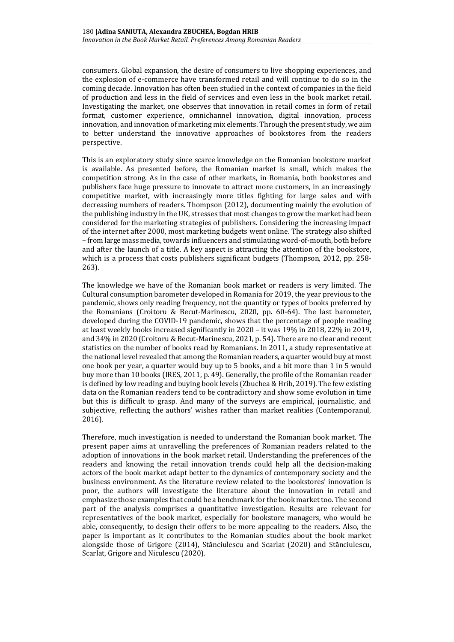consumers. Global expansion, the desire of consumers to live shopping experiences, and the explosion of e-commerce have transformed retail and will continue to do so in the coming decade. Innovation has often been studied in the context of companies in the field of production and less in the field of services and even less in the book market retail. Investigating the market, one observes that innovation in retail comes in form of retail format, customer experience, omnichannel innovation, digital innovation, process innovation, and innovation of marketing mix elements. Through the present study, we aim to better understand the innovative approaches of bookstores from the readers perspective.

This is an exploratory study since scarce knowledge on the Romanian bookstore market is available. As presented before, the Romanian market is small, which makes the competition strong. As in the case of other markets, in Romania, both bookstores and publishers face huge pressure to innovate to attract more customers, in an increasingly competitive market, with increasingly more titles fighting for large sales and with decreasing numbers of readers. Thompson (2012), documenting mainly the evolution of the publishing industry in the UK, stresses that most changes to grow the market had been considered for the marketing strategies of publishers. Considering the increasing impact of the internet after 2000, most marketing budgets went online. The strategy also shifted – from large mass media, towards influencers and stimulating word-of-mouth, both before and after the launch of a title. A key aspect is attracting the attention of the bookstore, which is a process that costs publishers significant budgets (Thompson, 2012, pp. 258-263).

The knowledge we have of the Romanian book market or readers is very limited. The Cultural consumption barometer developed in Romania for 2019, the year previous to the pandemic, shows only reading frequency, not the quantity or types of books preferred by the Romanians (Croitoru & Becut-Marinescu, 2020, pp. 60-64). The last barometer, developed during the COVID-19 pandemic, shows that the percentage of people reading at least weekly books increased significantly in 2020 – it was 19% in 2018, 22% in 2019, and 34% in 2020 (Croitoru & Becut-Marinescu, 2021, p. 54). There are no clear and recent statistics on the number of books read by Romanians. In 2011, a study representative at the national level revealed that among the Romanian readers, a quarter would buy at most one book per year, a quarter would buy up to 5 books, and a bit more than 1 in 5 would buy more than 10 books (IRES, 2011, p. 49). Generally, the profile of the Romanian reader is defined by low reading and buying book levels (Zbuchea & Hrib, 2019). The few existing data on the Romanian readers tend to be contradictory and show some evolution in time but this is difficult to grasp. And many of the surveys are empirical, journalistic, and subjective, reflecting the authors' wishes rather than market realities (Contemporanul, 2016).

Therefore, much investigation is needed to understand the Romanian book market. The present paper aims at unravelling the preferences of Romanian readers related to the adoption of innovations in the book market retail. Understanding the preferences of the readers and knowing the retail innovation trends could help all the decision-making actors of the book market adapt better to the dynamics of contemporary society and the business environment. As the literature review related to the bookstores' innovation is poor, the authors will investigate the literature about the innovation in retail and emphasize those examples that could be a benchmark for the book market too. The second part of the analysis comprises a quantitative investigation. Results are relevant for representatives of the book market, especially for bookstore managers, who would be able, consequently, to design their offers to be more appealing to the readers. Also, the paper is important as it contributes to the Romanian studies about the book market alongside those of Grigore (2014), Stănciulescu and Scarlat (2020) and Stănciulescu, Scarlat, Grigore and Niculescu (2020).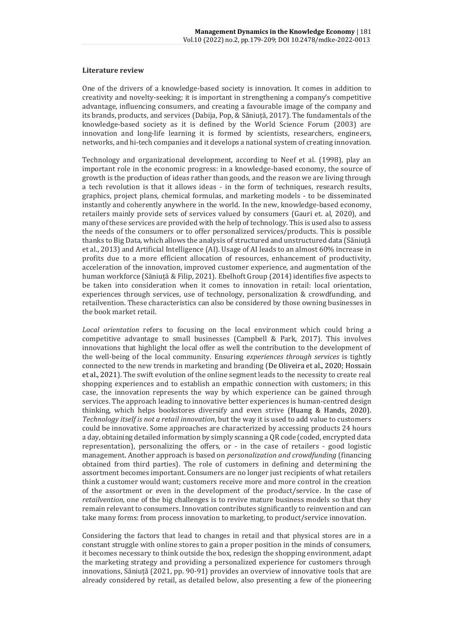#### **Literature review**

One of the drivers of a knowledge-based society is innovation. It comes in addition to creativity and novelty-seeking; it is important in strengthening a company's competitive advantage, influencing consumers, and creating a favourable image of the company and its brands, products, and services (Dabija, Pop, & Săniuță, 2017). The fundamentals of the knowledge-based society as it is defined by the World Science Forum (2003) are innovation and long-life learning it is formed by scientists, researchers, engineers, networks, and hi-tech companies and it develops a national system of creating innovation.

Technology and organizational development, according to Neef et al. (1998), play an important role in the economic progress: in a knowledge-based economy, the source of growth is the production of ideas rather than goods, and the reason we are living through a tech revolution is that it allows ideas - in the form of techniques, research results, graphics, project plans, chemical formulas, and marketing models - to be disseminated instantly and coherently anywhere in the world. In the new, knowledge-based economy, retailers mainly provide sets of services valued by consumers (Gauri et. al, 2020), and many of these services are provided with the help of technology. This is used also to assess the needs of the consumers or to offer personalized services/products. This is possible thanks to Big Data, which allows the analysis of structured and unstructured data (Săniuță et al., 2013) and Artificial Intelligence (AI). Usage of AI leads to an almost 60% increase in profits due to a more efficient allocation of resources, enhancement of productivity, acceleration of the innovation, improved customer experience, and augmentation of the human workforce (Săniuță & Filip, 2021). Ebelhoft Group (2014) identifies five aspects to be taken into consideration when it comes to innovation in retail: local orientation, experiences through services, use of technology, personalization & crowdfunding, and retailvention. These characteristics can also be considered by those owning businesses in the book market retail.

*Local orientation* refers to focusing on the local environment which could bring a competitive advantage to small businesses (Campbell & Park, 2017). This involves innovations that highlight the local offer as well the contribution to the development of the well-being of the local community. Ensuring *experiences through services* is tightly connected to the new trends in marketing and branding (De Oliveira et al., 2020; Hossain et al., 2021). The swift evolution of the online segment leads to the necessity to create real shopping experiences and to establish an empathic connection with customers; in this case, the innovation represents the way by which experience can be gained through services. The approach leading to innovative better experiences is human-centred design thinking, which helps bookstores diversify and even strive (Huang & Hands, 2020). *Technology itself is not a retail innovation*, but the way it is used to add value to customers could be innovative. Some approaches are characterized by accessing products 24 hours a day, obtaining detailed information by simply scanning a QR code (coded, encrypted data representation), personalizing the offers, or - in the case of retailers - good logistic management. Another approach is based on *personalization and crowdfunding* (financing obtained from third parties). The role of customers in defining and determining the assortment becomes important. Consumers are no longer just recipients of what retailers think a customer would want; customers receive more and more control in the creation of the assortment or even in the development of the product/service. In the case of *retailvention,* one of the big challenges is to revive mature business models so that they remain relevant to consumers. Innovation contributes significantly to reinvention and can take many forms: from process innovation to marketing, to product/service innovation.

Considering the factors that lead to changes in retail and that physical stores are in a constant struggle with online stores to gain a proper position in the minds of consumers, it becomes necessary to think outside the box, redesign the shopping environment, adapt the marketing strategy and providing a personalized experience for customers through innovations, Săniuță (2021, pp. 90-91) provides an overview of innovative tools that are already considered by retail, as detailed below, also presenting a few of the pioneering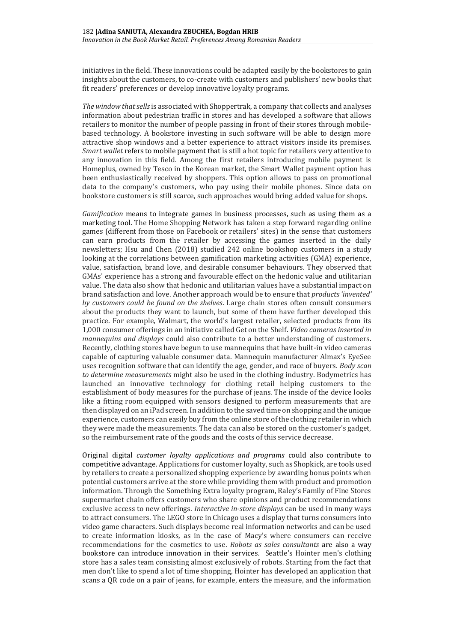initiatives in the field. These innovations could be adapted easily by the bookstores to gain insights about the customers, to co-create with customers and publishers' new books that fit readers' preferences or develop innovative loyalty programs.

*The window that sells* is associated with Shoppertrak, a company that collects and analyses information about pedestrian traffic in stores and has developed a software that allows retailers to monitor the number of people passing in front of their stores through mobilebased technology. A bookstore investing in such software will be able to design more attractive shop windows and a better experience to attract visitors inside its premises. *Smart wallet* refers to mobile payment that is still a hot topic for retailers very attentive to any innovation in this field. Among the first retailers introducing mobile payment is Homeplus, owned by Tesco in the Korean market, the Smart Wallet payment option has been enthusiastically received by shoppers. This option allows to pass on promotional data to the company's customers, who pay using their mobile phones. Since data on bookstore customers is still scarce, such approaches would bring added value for shops.

*Gamification* means to integrate games in business processes, such as using them as a marketing tool. The Home Shopping Network has taken a step forward regarding online games (different from those on Facebook or retailers' sites) in the sense that customers can earn products from the retailer by accessing the games inserted in the daily newsletters; Hsu and Chen (2018) studied 242 online bookshop customers in a study looking at the correlations between gamification marketing activities (GMA) experience, value, satisfaction, brand love, and desirable consumer behaviours. They observed that GMAs' experience has a strong and favourable effect on the hedonic value and utilitarian value. The data also show that hedonic and utilitarian values have a substantial impact on brand satisfaction and love. Another approach would be to ensure that *products 'invented' by customers could be found on the shelves*. Large chain stores often consult consumers about the products they want to launch, but some of them have further developed this practice. For example, Walmart, the world's largest retailer, selected products from its 1,000 consumer offerings in an initiative called Get on the Shelf. *Video cameras inserted in mannequins and displays* could also contribute to a better understanding of customers. Recently, clothing stores have begun to use mannequins that have built-in video cameras capable of capturing valuable consumer data. Mannequin manufacturer Almax's EyeSee uses recognition software that can identify the age, gender, and race of buyers. *Body scan to determine measurements* might also be used in the clothing industry. Bodymetrics has launched an innovative technology for clothing retail helping customers to the establishment of body measures for the purchase of jeans. The inside of the device looks like a fitting room equipped with sensors designed to perform measurements that are then displayed on an iPad screen. In addition to the saved time on shopping and the unique experience, customers can easily buy from the online store of the clothing retailer in which they were made the measurements. The data can also be stored on the customer's gadget, so the reimbursement rate of the goods and the costs of this service decrease.

Original digital *customer loyalty applications and programs* could also contribute to competitive advantage. Applications for customer loyalty, such as Shopkick, are tools used by retailers to create a personalized shopping experience by awarding bonus points when potential customers arrive at the store while providing them with product and promotion information. Through the Something Extra loyalty program, Raley's Family of Fine Stores supermarket chain offers customers who share opinions and product recommendations exclusive access to new offerings. *Interactive in-store displays* can be used in many ways to attract consumers. The LEGO store in Chicago uses a display that turns consumers into video game characters. Such displays become real information networks and can be used to create information kiosks, as in the case of Macy's where consumers can receive recommendations for the cosmetics to use. *Robots as sales consultants* are also a way bookstore can introduce innovation in their services. Seattle's Hointer men's clothing store has a sales team consisting almost exclusively of robots. Starting from the fact that men don't like to spend a lot of time shopping, Hointer has developed an application that scans a QR code on a pair of jeans, for example, enters the measure, and the information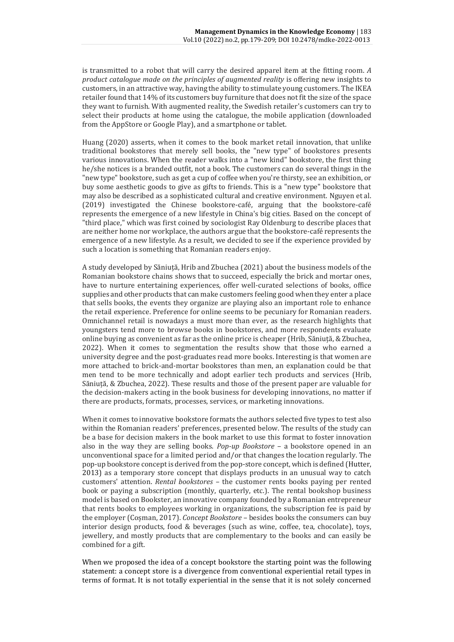is transmitted to a robot that will carry the desired apparel item at the fitting room. *A product catalogue made on the principles of augmented reality* is offering new insights to customers, in an attractive way, having the ability to stimulate young customers. The IKEA retailer found that 14% of its customers buy furniture that does not fit the size of the space they want to furnish. With augmented reality, the Swedish retailer's customers can try to select their products at home using the catalogue, the mobile application (downloaded from the AppStore or Google Play), and a smartphone or tablet.

Huang (2020) asserts, when it comes to the book market retail innovation, that unlike traditional bookstores that merely sell books, the "new type" of bookstores presents various innovations. When the reader walks into a "new kind" bookstore, the first thing he/she notices is a branded outfit, not a book. The customers can do several things in the "new type" bookstore, such as get a cup of coffee when you're thirsty, see an exhibition, or buy some aesthetic goods to give as gifts to friends. This is a "new type" bookstore that may also be described as a sophisticated cultural and creative environment. Nguyen et al. (2019) investigated the Chinese bookstore-café, arguing that the bookstore-café represents the emergence of a new lifestyle in China's big cities. Based on the concept of "third place," which was first coined by sociologist Ray Oldenburg to describe places that are neither home nor workplace, the authors argue that the bookstore-café represents the emergence of a new lifestyle. As a result, we decided to see if the experience provided by such a location is something that Romanian readers enjoy.

A study developed by Săniuță, Hrib and Zbuchea (2021) about the business models of the Romanian bookstore chains shows that to succeed, especially the brick and mortar ones, have to nurture entertaining experiences, offer well-curated selections of books, office supplies and other products that can make customers feeling good when they enter a place that sells books, the events they organize are playing also an important role to enhance the retail experience. Preference for online seems to be pecuniary for Romanian readers. Omnichannel retail is nowadays a must more than ever, as the research highlights that youngsters tend more to browse books in bookstores, and more respondents evaluate online buying as convenient as far as the online price is cheaper (Hrib, Săniuță, & Zbuchea, 2022). When it comes to segmentation the results show that those who earned a university degree and the post-graduates read more books. Interesting is that women are more attached to brick-and-mortar bookstores than men, an explanation could be that men tend to be more technically and adopt earlier tech products and services (Hrib, Săniuță, & Zbuchea, 2022). These results and those of the present paper are valuable for the decision-makers acting in the book business for developing innovations, no matter if there are products, formats, processes, services, or marketing innovations.

When it comes to innovative bookstore formats the authors selected five types to test also within the Romanian readers' preferences, presented below. The results of the study can be a base for decision makers in the book market to use this format to foster innovation also in the way they are selling books. *Pop-up Bookstore* – a bookstore opened in an unconventional space for a limited period and/or that changes the location regularly. The pop-up bookstore concept is derived from the pop-store concept, which is defined (Hutter, 2013) as a temporary store concept that displays products in an unusual way to catch customers' attention. *Rental bookstores –* the customer rents books paying per rented book or paying a subscription (monthly, quarterly, etc.). The rental bookshop business model is based on Bookster, an innovative company founded by a Romanian entrepreneur that rents books to employees working in organizations, the subscription fee is paid by the employer (Coșman, 2017). *Concept Bookstore* – besides books the consumers can buy interior design products, food & beverages (such as wine, coffee, tea, chocolate), toys, jewellery, and mostly products that are complementary to the books and can easily be combined for a gift.

When we proposed the idea of a concept bookstore the starting point was the following statement: a concept store is a divergence from conventional experiential retail types in terms of format. It is not totally experiential in the sense that it is not solely concerned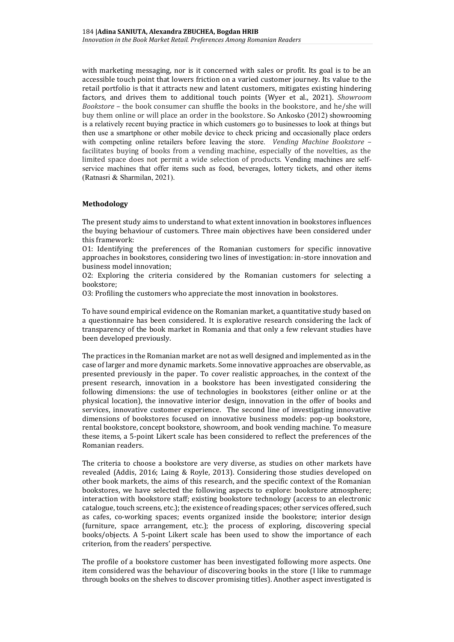with marketing messaging, nor is it concerned with sales or profit. Its goal is to be an accessible touch point that lowers friction on a varied customer journey. Its value to the retail portfolio is that it attracts new and latent customers, mitigates existing hindering factors, and drives them to additional touch points (Wyer et al., 2021). *Showroom Bookstore* – the book consumer can shuffle the books in the bookstore, and he/she will buy them online or will place an order in the bookstore. So Ankosko (2012) showrooming is a relatively recent buying practice in which customers go to businesses to look at things but then use a smartphone or other mobile device to check pricing and occasionally place orders with competing online retailers before leaving the store. *Vending Machine Bookstore* – facilitates buying of books from a vending machine, especially of the novelties, as the limited space does not permit a wide selection of products. Vending machines are selfservice machines that offer items such as food, beverages, lottery tickets, and other items (Ratnasri & Sharmilan, 2021).

## **Methodology**

The present study aims to understand to what extent innovation in bookstores influences the buying behaviour of customers. Three main objectives have been considered under this framework:

O1: Identifying the preferences of the Romanian customers for specific innovative approaches in bookstores, considering two lines of investigation: in-store innovation and business model innovation;

O2: Exploring the criteria considered by the Romanian customers for selecting a bookstore;

O3: Profiling the customers who appreciate the most innovation in bookstores.

To have sound empirical evidence on the Romanian market, a quantitative study based on a questionnaire has been considered. It is explorative research considering the lack of transparency of the book market in Romania and that only a few relevant studies have been developed previously.

The practices in the Romanian market are not as well designed and implemented as in the case of larger and more dynamic markets. Some innovative approaches are observable, as presented previously in the paper. To cover realistic approaches, in the context of the present research, innovation in a bookstore has been investigated considering the following dimensions: the use of technologies in bookstores (either online or at the physical location), the innovative interior design, innovation in the offer of books and services, innovative customer experience. The second line of investigating innovative dimensions of bookstores focused on innovative business models: pop-up bookstore, rental bookstore, concept bookstore, showroom, and book vending machine. To measure these items, a 5-point Likert scale has been considered to reflect the preferences of the Romanian readers.

The criteria to choose a bookstore are very diverse, as studies on other markets have revealed (Addis, 2016; Laing & Royle, 2013). Considering those studies developed on other book markets, the aims of this research, and the specific context of the Romanian bookstores, we have selected the following aspects to explore: bookstore atmosphere; interaction with bookstore staff; existing bookstore technology (access to an electronic catalogue, touch screens, etc.); the existence of reading spaces; other services offered, such as cafes, co-working spaces; events organized inside the bookstore; interior design (furniture, space arrangement, etc.); the process of exploring, discovering special books/objects. A 5-point Likert scale has been used to show the importance of each criterion, from the readers' perspective.

The profile of a bookstore customer has been investigated following more aspects. One item considered was the behaviour of discovering books in the store (I like to rummage through books on the shelves to discover promising titles). Another aspect investigated is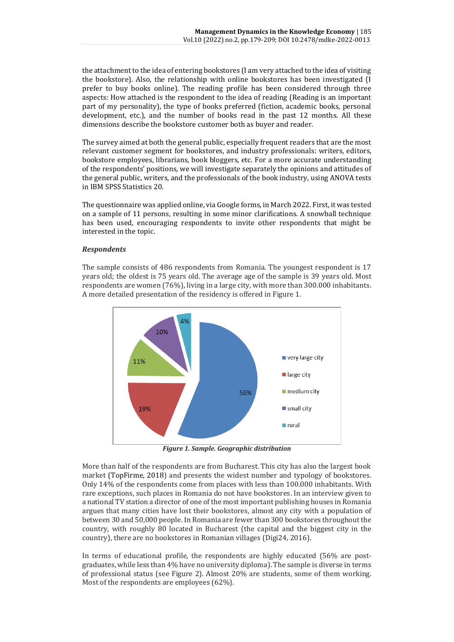the attachment to the idea of entering bookstores (I am very attached to the idea of visiting the bookstore). Also, the relationship with online bookstores has been investigated (I prefer to buy books online). The reading profile has been considered through three aspects: How attached is the respondent to the idea of reading (Reading is an important part of my personality), the type of books preferred (fiction, academic books, personal development, etc.), and the number of books read in the past 12 months. All these dimensions describe the bookstore customer both as buyer and reader.

The survey aimed at both the general public, especially frequent readers that are the most relevant customer segment for bookstores, and industry professionals: writers, editors, bookstore employees, librarians, book bloggers, etc. For a more accurate understanding of the respondents' positions, we will investigate separately the opinions and attitudes of the general public, writers, and the professionals of the book industry, using ANOVA tests in IBM SPSS Statistics 20.

The questionnaire was applied online, via Google forms, in March 2022. First, it was tested on a sample of 11 persons, resulting in some minor clarifications. A snowball technique has been used, encouraging respondents to invite other respondents that might be interested in the topic.

## *Respondents*

The sample consists of 486 respondents from Romania. The youngest respondent is 17 years old; the oldest is 75 years old. The average age of the sample is 39 years old. Most respondents are women (76%), living in a large city, with more than 300.000 inhabitants. A more detailed presentation of the residency is offered in Figure 1.



*Figure 1. Sample. Geographic distribution*

More than half of the respondents are from Bucharest. This city has also the largest book market (TopFirme, 2018) and presents the widest number and typology of bookstores. Only 14% of the respondents come from places with less than 100.000 inhabitants. With rare exceptions, such places in Romania do not have bookstores. In an interview given to a national TV station a director of one of the most important publishing houses in Romania argues that many cities have lost their bookstores, almost any city with a population of between 30 and 50,000 people. In Romania are fewer than 300 bookstores throughout the country, with roughly 80 located in Bucharest (the capital and the biggest city in the country), there are no bookstores in Romanian villages (Digi24, 2016).

In terms of educational profile, the respondents are highly educated (56% are postgraduates, while less than 4% have no university diploma). The sample is diverse in terms of professional status (see Figure 2). Almost 20% are students, some of them working. Most of the respondents are employees (62%).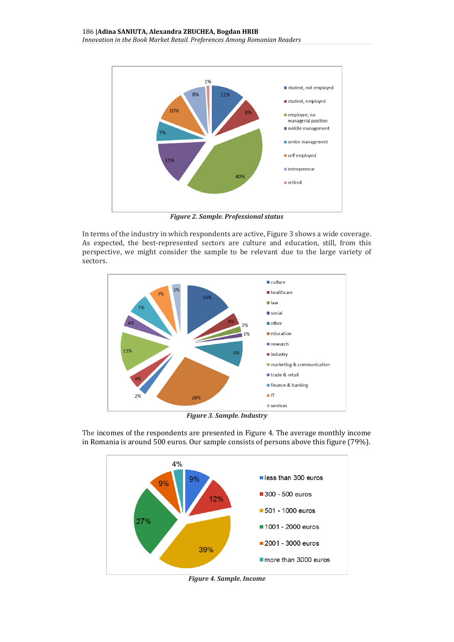

*Figure 2. Sample. Professional status*

In terms of the industry in which respondents are active, Figure 3 shows a wide coverage. As expected, the best-represented sectors are culture and education, still, from this perspective, we might consider the sample to be relevant due to the large variety of sectors.



*Figure 3. Sample. Industry*

The incomes of the respondents are presented in Figure 4. The average monthly income in Romania is around 500 euros. Our sample consists of persons above this figure (79%).



*Figure 4. Sample. Income*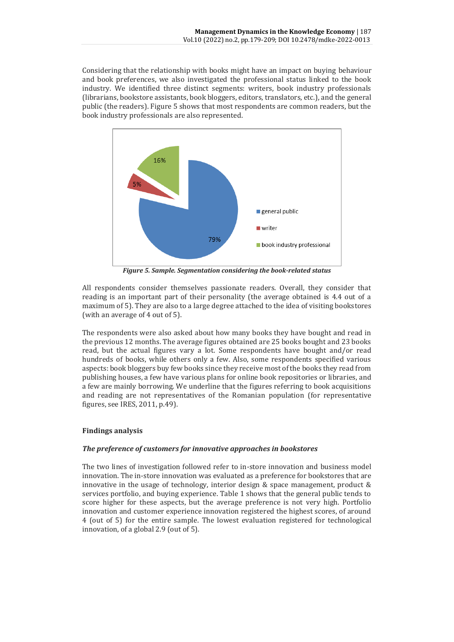Considering that the relationship with books might have an impact on buying behaviour and book preferences, we also investigated the professional status linked to the book industry. We identified three distinct segments: writers, book industry professionals (librarians, bookstore assistants, book bloggers, editors, translators, etc.), and the general public (the readers). Figure 5 shows that most respondents are common readers, but the book industry professionals are also represented.



*Figure 5. Sample. Segmentation considering the book-related status*

All respondents consider themselves passionate readers. Overall, they consider that reading is an important part of their personality (the average obtained is 4.4 out of a maximum of 5). They are also to a large degree attached to the idea of visiting bookstores (with an average of 4 out of 5).

The respondents were also asked about how many books they have bought and read in the previous 12 months. The average figures obtained are 25 books bought and 23 books read, but the actual figures vary a lot. Some respondents have bought and/or read hundreds of books, while others only a few. Also, some respondents specified various aspects: book bloggers buy few books since they receive most of the books they read from publishing houses, a few have various plans for online book repositories or libraries, and a few are mainly borrowing. We underline that the figures referring to book acquisitions and reading are not representatives of the Romanian population (for representative figures, see IRES, 2011, p.49).

# **Findings analysis**

## *The preference of customers for innovative approaches in bookstores*

The two lines of investigation followed refer to in-store innovation and business model innovation. The in-store innovation was evaluated as a preference for bookstores that are innovative in the usage of technology, interior design & space management, product & services portfolio, and buying experience. Table 1 shows that the general public tends to score higher for these aspects, but the average preference is not very high. Portfolio innovation and customer experience innovation registered the highest scores, of around 4 (out of 5) for the entire sample. The lowest evaluation registered for technological innovation, of a global 2.9 (out of 5).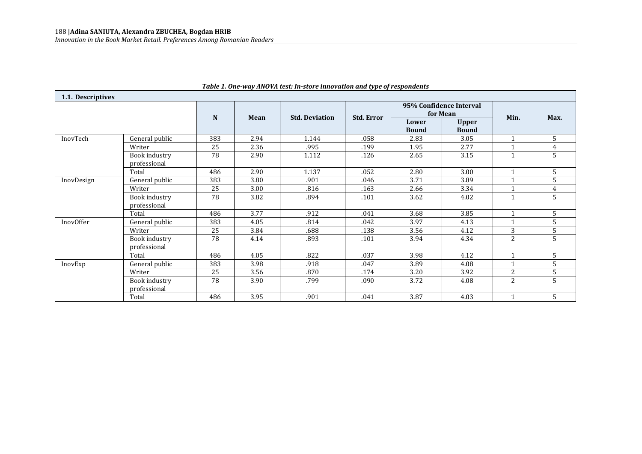| 1.1. Descriptives |                               |     |      |                       |                   |                       |                                     |              |                |  |
|-------------------|-------------------------------|-----|------|-----------------------|-------------------|-----------------------|-------------------------------------|--------------|----------------|--|
|                   |                               | N   | Mean | <b>Std. Deviation</b> | <b>Std. Error</b> |                       | 95% Confidence Interval<br>for Mean | Min.         | Max.           |  |
|                   |                               |     |      |                       |                   | Lower<br><b>Bound</b> | <b>Upper</b><br><b>Bound</b>        |              |                |  |
| InovTech          | General public                | 383 | 2.94 | 1.144                 | .058              | 2.83                  | 3.05                                | $\mathbf{1}$ | 5              |  |
|                   | Writer                        | 25  | 2.36 | .995                  | .199              | 1.95                  | 2.77                                |              | 4              |  |
|                   | Book industry<br>professional | 78  | 2.90 | 1.112                 | .126              | 2.65                  | 3.15                                | $\mathbf{1}$ | 5              |  |
|                   | Total                         | 486 | 2.90 | 1.137                 | .052              | 2.80                  | 3.00                                |              | 5              |  |
| InovDesign        | General public                | 383 | 3.80 | .901                  | .046              | 3.71                  | 3.89                                |              | 5              |  |
|                   | Writer                        | 25  | 3.00 | .816                  | .163              | 2.66                  | 3.34                                |              | $\overline{4}$ |  |
|                   | Book industry<br>professional | 78  | 3.82 | .894                  | .101              | 3.62                  | 4.02                                | $\mathbf{1}$ | 5              |  |
|                   | Total                         | 486 | 3.77 | .912                  | .041              | 3.68                  | 3.85                                | $\mathbf{1}$ | 5              |  |
| InovOffer         | General public                | 383 | 4.05 | .814                  | .042              | 3.97                  | 4.13                                | $\mathbf{1}$ | 5              |  |
|                   | Writer                        | 25  | 3.84 | .688                  | .138              | 3.56                  | 4.12                                | 3            | 5              |  |
|                   | Book industry<br>professional | 78  | 4.14 | .893                  | .101              | 3.94                  | 4.34                                | 2            | 5              |  |
|                   | Total                         | 486 | 4.05 | .822                  | .037              | 3.98                  | 4.12                                |              | 5              |  |
| InovExp           | General public                | 383 | 3.98 | .918                  | .047              | 3.89                  | 4.08                                |              | 5              |  |
|                   | Writer                        | 25  | 3.56 | .870                  | .174              | 3.20                  | 3.92                                | 2            | 5              |  |
|                   | Book industry<br>professional | 78  | 3.90 | .799                  | .090              | 3.72                  | 4.08                                | 2            | 5              |  |
|                   | Total                         | 486 | 3.95 | .901                  | .041              | 3.87                  | 4.03                                |              | 5              |  |

## *Table 1. One-way ANOVA test: In-store innovation and type of respondents*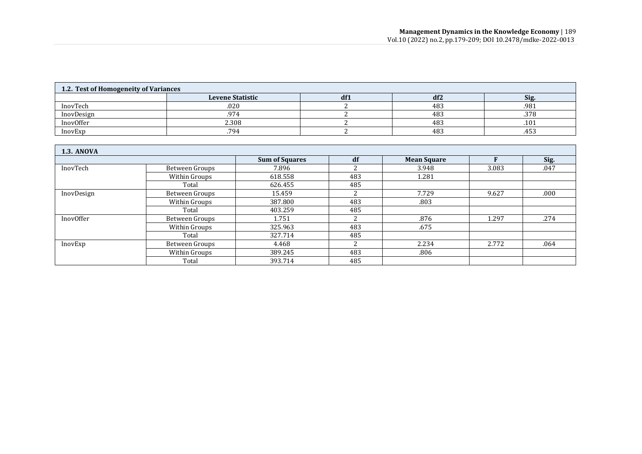| 1.2. Test of Homogeneity of Variances |                         |     |                 |      |  |  |  |  |  |
|---------------------------------------|-------------------------|-----|-----------------|------|--|--|--|--|--|
|                                       | <b>Levene Statistic</b> | df1 | df <sub>2</sub> | Sig. |  |  |  |  |  |
| InovTech                              | .020                    |     | 483             | .981 |  |  |  |  |  |
| InovDesign                            | 974                     |     | 483             | .378 |  |  |  |  |  |
| InovOffer                             | 2.308                   |     | 483             | .101 |  |  |  |  |  |
| InovExp                               | .794                    |     | 483             | .453 |  |  |  |  |  |

| <b>1.3. ANOVA</b> |                |                       |     |                    |       |      |
|-------------------|----------------|-----------------------|-----|--------------------|-------|------|
|                   |                | <b>Sum of Squares</b> | df  | <b>Mean Square</b> |       | Sig. |
| InovTech          | Between Groups | 7.896                 |     | 3.948              | 3.083 | .047 |
|                   | Within Groups  | 618.558               | 483 | 1.281              |       |      |
|                   | Total          | 626.455               | 485 |                    |       |      |
| InovDesign        | Between Groups | 15.459                |     | 7.729              | 9.627 | .000 |
|                   | Within Groups  | 387.800               | 483 | .803               |       |      |
|                   | Total          | 403.259               | 485 |                    |       |      |
| InovOffer         | Between Groups | 1.751                 |     | .876               | 1.297 | .274 |
|                   | Within Groups  | 325.963               | 483 | .675               |       |      |
|                   | Total          | 327.714               | 485 |                    |       |      |
| InovExp           | Between Groups | 4.468                 | ີ   | 2.234              | 2.772 | .064 |
|                   | Within Groups  | 389.245               | 483 | .806               |       |      |
|                   | Total          | 393.714               | 485 |                    |       |      |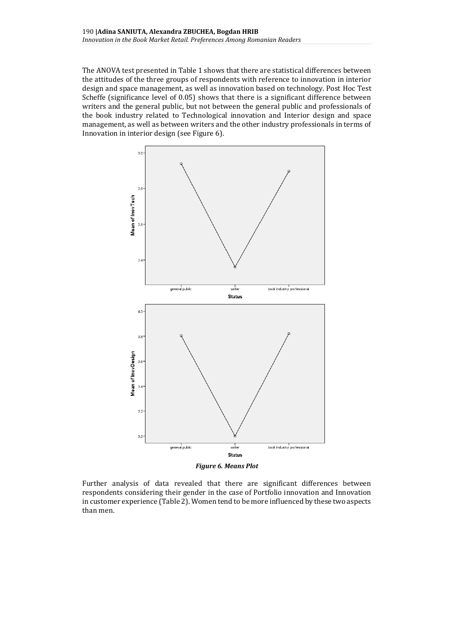The ANOVA test presented in Table 1 shows that there are statistical differences between the attitudes of the three groups of respondents with reference to innovation in interior design and space management, as well as innovation based on technology. Post Hoc Test Scheffe (significance level of 0.05) shows that there is a significant difference between writers and the general public, but not between the general public and professionals of the book industry related to Technological innovation and Interior design and space management, as well as between writers and the other industry professionals in terms of Innovation in interior design (see Figure 6).



Further analysis of data revealed that there are significant differences between respondents considering their gender in the case of Portfolio innovation and Innovation in customer experience (Table 2). Women tend to be more influenced by these two aspects than men.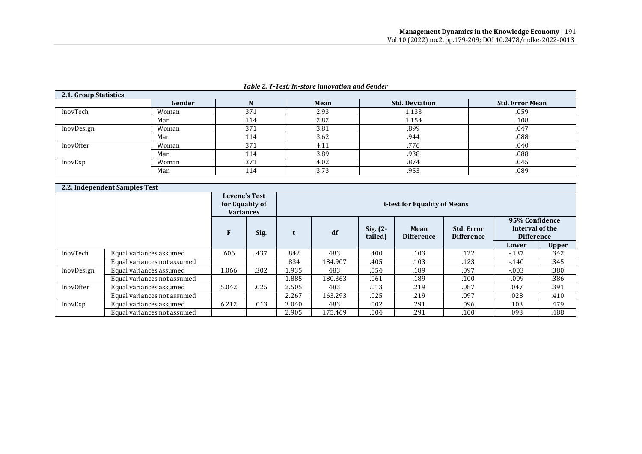| 2.1. Group Statistics |        |     |      |                       |                        |  |  |  |  |  |
|-----------------------|--------|-----|------|-----------------------|------------------------|--|--|--|--|--|
|                       | Gender |     | Mean | <b>Std. Deviation</b> | <b>Std. Error Mean</b> |  |  |  |  |  |
| InovTech              | Woman  | 371 | 2.93 | 1.133                 | .059                   |  |  |  |  |  |
|                       | Man    | 114 | 2.82 | 1.154                 | .108                   |  |  |  |  |  |
| InovDesign            | Woman  | 371 | 3.81 | .899                  | .047                   |  |  |  |  |  |
|                       | Man    | 114 | 3.62 | .944                  | .088                   |  |  |  |  |  |
| InovOffer             | Woman  | 371 | 4.11 | .776                  | .040                   |  |  |  |  |  |
|                       | Man    | 114 | 3.89 | .938                  | .088                   |  |  |  |  |  |
| InovExp               | Woman  | 371 | 4.02 | .874                  | .045                   |  |  |  |  |  |
|                       | Man    | 114 | 3.73 | .953                  | .089                   |  |  |  |  |  |

## *Table 2. T-Test: In-store innovation and Gender*

|            | 2.2. Independent Samples Test                               |       |      |                              |         |                       |                           |                                        |                                                        |              |
|------------|-------------------------------------------------------------|-------|------|------------------------------|---------|-----------------------|---------------------------|----------------------------------------|--------------------------------------------------------|--------------|
|            | <b>Levene's Test</b><br>for Equality of<br><b>Variances</b> |       |      | t-test for Equality of Means |         |                       |                           |                                        |                                                        |              |
|            |                                                             | F     | Sig. |                              | df      | $Sig. (2-$<br>tailed) | Mean<br><b>Difference</b> | <b>Std. Error</b><br><b>Difference</b> | 95% Confidence<br>Interval of the<br><b>Difference</b> |              |
|            |                                                             |       |      |                              |         |                       |                           |                                        | Lower                                                  | <b>Upper</b> |
| InovTech   | Equal variances assumed                                     | .606  | .437 | .842                         | 483     | .400                  | .103                      | .122                                   | $-137$                                                 | .342         |
|            | Equal variances not assumed                                 |       |      | .834                         | 184.907 | .405                  | .103                      | .123                                   | $-140$                                                 | .345         |
| InovDesign | Equal variances assumed                                     | 1.066 | .302 | 1.935                        | 483     | .054                  | .189                      | .097                                   | $-.003$                                                | .380         |
|            | Equal variances not assumed                                 |       |      | .885                         | 180.363 | .061                  | .189                      | .100                                   | $-.009$                                                | .386         |
| InovOffer  | Equal variances assumed                                     | 5.042 | .025 | 2.505                        | 483     | .013                  | .219                      | .087                                   | .047                                                   | .391         |
|            | Equal variances not assumed                                 |       |      | 2.267                        | 163.293 | .025                  | .219                      | .097                                   | .028                                                   | .410         |
| InovExp    | Equal variances assumed                                     | 6.212 | .013 | 3.040                        | 483     | .002                  | .291                      | .096                                   | .103                                                   | .479         |
|            | Equal variances not assumed                                 |       |      | 2.905                        | 175.469 | .004                  | .291                      | .100                                   | .093                                                   | .488         |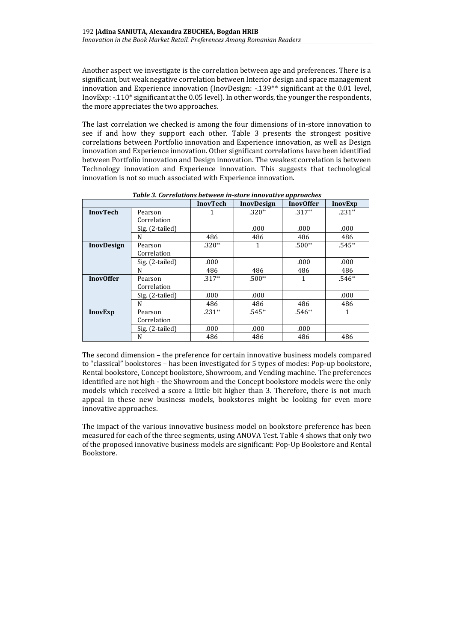Another aspect we investigate is the correlation between age and preferences. There is a significant, but weak negative correlation between Interior design and space management innovation and Experience innovation (InovDesign: -.139\*\* significant at the 0.01 level, InovExp: -.110\* significant at the 0.05 level). In other words, the younger the respondents, the more appreciates the two approaches.

The last correlation we checked is among the four dimensions of in-store innovation to see if and how they support each other. Table 3 presents the strongest positive correlations between Portfolio innovation and Experience innovation, as well as Design innovation and Experience innovation. Other significant correlations have been identified between Portfolio innovation and Design innovation. The weakest correlation is between Technology innovation and Experience innovation. This suggests that technological innovation is not so much associated with Experience innovation.

|                   |                 | <b>InovTech</b> | <b>InovDesign</b> | <b>InovOffer</b> | <b>InovExp</b> |
|-------------------|-----------------|-----------------|-------------------|------------------|----------------|
| <b>InovTech</b>   | Pearson         | 1               | $.320**$          | $.317**$         | $.231**$       |
|                   | Correlation     |                 |                   |                  |                |
|                   | Sig. (2-tailed) |                 | .000              | .000             | .000           |
|                   | N               | 486             | 486               | 486              | 486            |
| <b>InovDesign</b> | Pearson         | $.320**$        | 1                 | $.500**$         | $.545**$       |
|                   | Correlation     |                 |                   |                  |                |
|                   | Sig. (2-tailed) | .000            |                   | .000             | .000           |
|                   | N               | 486             | 486               | 486              | 486            |
| <b>InovOffer</b>  | Pearson         | $.317**$        | $.500**$          | $\mathbf{1}$     | $.546**$       |
|                   | Correlation     |                 |                   |                  |                |
|                   | Sig. (2-tailed) | .000            | .000              |                  | .000           |
|                   | N               | 486             | 486               | 486              | 486            |
| <b>InovExp</b>    | Pearson         | $.231**$        | $.545**$          | $.546**$         | 1              |
|                   | Correlation     |                 |                   |                  |                |
|                   | Sig. (2-tailed) | .000            | .000              | .000             |                |
|                   | N               | 486             | 486               | 486              | 486            |

*Table 3. Correlations between in-store innovative approaches*

The second dimension – the preference for certain innovative business models compared to "classical" bookstores – has been investigated for 5 types of modes: Pop-up bookstore, Rental bookstore, Concept bookstore, Showroom, and Vending machine. The preferences identified are not high - the Showroom and the Concept bookstore models were the only models which received a score a little bit higher than 3. Therefore, there is not much appeal in these new business models, bookstores might be looking for even more innovative approaches.

The impact of the various innovative business model on bookstore preference has been measured for each of the three segments, using ANOVA Test. Table 4 shows that only two of the proposed innovative business models are significant: Pop-Up Bookstore and Rental Bookstore.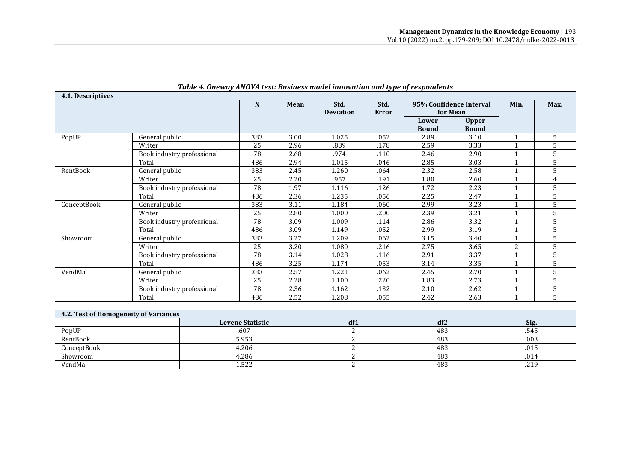| 4.1. Descriptives |                            |     |      |                  |       |              |                         |                      |      |
|-------------------|----------------------------|-----|------|------------------|-------|--------------|-------------------------|----------------------|------|
|                   |                            | N   | Mean | Std.             | Std.  |              | 95% Confidence Interval | Min.                 | Max. |
|                   |                            |     |      | <b>Deviation</b> | Error | for Mean     |                         |                      |      |
|                   |                            |     |      |                  |       | Lower        | <b>Upper</b>            |                      |      |
|                   |                            |     |      |                  |       | <b>Bound</b> | <b>Bound</b>            |                      |      |
| PopUP             | General public             | 383 | 3.00 | 1.025            | .052  | 2.89         | 3.10                    | $\mathbf 1$          | 5    |
|                   | Writer                     | 25  | 2.96 | .889             | .178  | 2.59         | 3.33                    |                      | 5    |
|                   | Book industry professional | 78  | 2.68 | .974             | .110  | 2.46         | 2.90                    | $\mathbf{1}$         | 5    |
|                   | Total                      | 486 | 2.94 | 1.015            | .046  | 2.85         | 3.03                    | $\mathbf{1}$         | 5    |
| RentBook          | General public             | 383 | 2.45 | 1.260            | .064  | 2.32         | 2.58                    | $\mathbf{1}$         | 5    |
|                   | Writer                     | 25  | 2.20 | .957             | .191  | 1.80         | 2.60                    | $\mathbf 1$          | 4    |
|                   | Book industry professional | 78  | 1.97 | 1.116            | .126  | 1.72         | 2.23                    | $\mathbf{1}$         | 5    |
|                   | Total                      | 486 | 2.36 | 1.235            | .056  | 2.25         | 2.47                    | $\mathbf{1}$         | 5    |
| ConceptBook       | General public             | 383 | 3.11 | 1.184            | .060  | 2.99         | 3.23                    |                      | 5    |
|                   | Writer                     | 25  | 2.80 | 1.000            | .200  | 2.39         | 3.21                    |                      | 5    |
|                   | Book industry professional | 78  | 3.09 | 1.009            | .114  | 2.86         | 3.32                    | $\blacktriangleleft$ | 5    |
|                   | Total                      | 486 | 3.09 | 1.149            | .052  | 2.99         | 3.19                    |                      | 5    |
| Showroom          | General public             | 383 | 3.27 | 1.209            | .062  | 3.15         | 3.40                    | $\mathbf 1$          | 5    |
|                   | Writer                     | 25  | 3.20 | 1.080            | .216  | 2.75         | 3.65                    | 2                    | 5    |
|                   | Book industry professional | 78  | 3.14 | 1.028            | .116  | 2.91         | 3.37                    | $\mathbf 1$          | 5    |
|                   | Total                      | 486 | 3.25 | 1.174            | .053  | 3.14         | 3.35                    | $\mathbf{1}$         | 5    |
| VendMa            | General public             | 383 | 2.57 | 1.221            | .062  | 2.45         | 2.70                    | $\mathbf{1}$         | 5    |
|                   | Writer                     | 25  | 2.28 | 1.100            | .220  | 1.83         | 2.73                    | $\mathbf{1}$         | 5    |
|                   | Book industry professional | 78  | 2.36 | 1.162            | .132  | 2.10         | 2.62                    | $\mathbf{1}$         | 5    |
|                   | Total                      | 486 | 2.52 | 1.208            | .055  | 2.42         | 2.63                    | $\mathbf{1}$         | 5    |
|                   |                            |     |      |                  |       |              |                         |                      |      |

# *Table 4. Oneway ANOVA test: Business model innovation and type of respondents*

| 4.2. Test of Homogeneity of Variances |                         |     |                 |      |  |  |  |  |  |
|---------------------------------------|-------------------------|-----|-----------------|------|--|--|--|--|--|
|                                       | <b>Levene Statistic</b> | df1 | df <sub>2</sub> | Sig. |  |  |  |  |  |
| PopUP                                 | .607                    |     | 483             | .545 |  |  |  |  |  |
| RentBook                              | 5.953                   |     | 483             | .003 |  |  |  |  |  |
| ConceptBook                           | 4.206                   |     | 483             | .015 |  |  |  |  |  |
| Showroom                              | 4.286                   |     | 483             | .014 |  |  |  |  |  |
| VendMa                                | 1.522                   |     | 483             | .219 |  |  |  |  |  |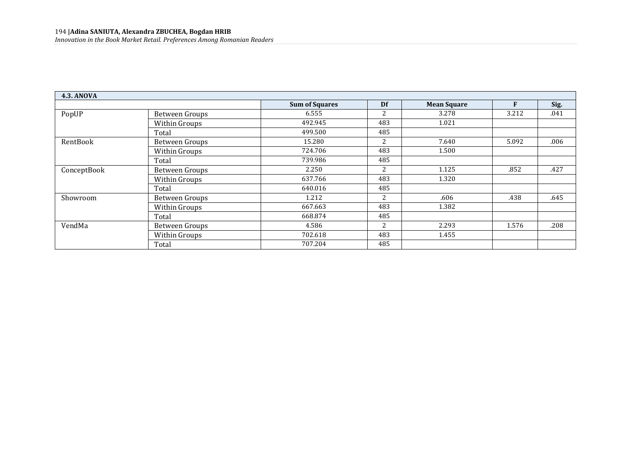| <b>4.3. ANOVA</b> |                       |                       |                |                    |       |      |
|-------------------|-----------------------|-----------------------|----------------|--------------------|-------|------|
|                   |                       | <b>Sum of Squares</b> | Df             | <b>Mean Square</b> | F     | Sig. |
| PopUP             | <b>Between Groups</b> | 6.555                 | 2              | 3.278              | 3.212 | .041 |
|                   | Within Groups         | 492.945               | 483            | 1.021              |       |      |
|                   | Total                 | 499.500               | 485            |                    |       |      |
| RentBook          | Between Groups        | 15.280                | 2              | 7.640              | 5.092 | .006 |
|                   | Within Groups         | 724.706               | 483            | 1.500              |       |      |
|                   | Total                 | 739.986               | 485            |                    |       |      |
| ConceptBook       | Between Groups        | 2.250                 | 2              | 1.125              | .852  | .427 |
|                   | Within Groups         | 637.766               | 483            | 1.320              |       |      |
|                   | Total                 | 640.016               | 485            |                    |       |      |
| Showroom          | <b>Between Groups</b> | 1.212                 | $\overline{2}$ | .606               | .438  | .645 |
|                   | Within Groups         | 667.663               | 483            | 1.382              |       |      |
|                   | Total                 | 668.874               | 485            |                    |       |      |
| VendMa            | Between Groups        | 4.586                 | $\overline{2}$ | 2.293              | 1.576 | .208 |
|                   | Within Groups         | 702.618               | 483            | 1.455              |       |      |
|                   | Total                 | 707.204               | 485            |                    |       |      |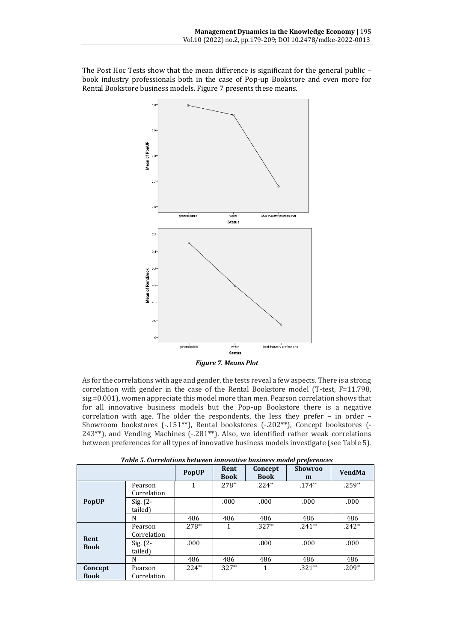The Post Hoc Tests show that the mean difference is significant for the general public – book industry professionals both in the case of Pop-up Bookstore and even more for Rental Bookstore business models. Figure 7 presents these means.



*Figure 7. Means Plot*

As for the correlations with age and gender, the tests reveal a few aspects. There is a strong correlation with gender in the case of the Rental Bookstore model (T-test, F=11.798, sig.=0.001), women appreciate this model more than men. Pearson correlation shows that for all innovative business models but the Pop-up Bookstore there is a negative correlation with age. The older the respondents, the less they prefer – in order – Showroom bookstores (-.151\*\*), Rental bookstores (-.202\*\*), Concept bookstores (- 243\*\*), and Vending Machines (-.281\*\*). Also, we identified rather weak correlations between preferences for all types of innovative business models investigate (see Table 5).

|                     | Tubic 5. Correlations between mnovative business model prejerences |              |                     |                        |                     |               |  |  |
|---------------------|--------------------------------------------------------------------|--------------|---------------------|------------------------|---------------------|---------------|--|--|
|                     |                                                                    | <b>PopUP</b> | Rent<br><b>Book</b> | Concept<br><b>Book</b> | <b>Showroo</b><br>m | <b>VendMa</b> |  |  |
|                     | Pearson<br>Correlation                                             | 1            | $.278**$            | $.224**$               | $.174**$            | $.259**$      |  |  |
| <b>PopUP</b>        | $Sig. (2 -$<br>tailed)                                             |              | .000                | .000                   | .000                | .000          |  |  |
|                     | N                                                                  | 486          | 486                 | 486                    | 486                 | 486           |  |  |
|                     | Pearson<br>Correlation                                             | $.278**$     |                     | $.327**$               | $.241**$            | $.242**$      |  |  |
| Rent<br><b>Book</b> | Sig. $(2 -$<br>tailed)                                             | .000         |                     | .000                   | .000                | .000          |  |  |
|                     | N                                                                  | 486          | 486                 | 486                    | 486                 | 486           |  |  |
| Concept             | Pearson                                                            | $.224**$     | $.327**$            | 1                      | $.321**$            | $.209**$      |  |  |
| <b>Book</b>         | Correlation                                                        |              |                     |                        |                     |               |  |  |

*Table 5. Correlations between innovative business model preferences*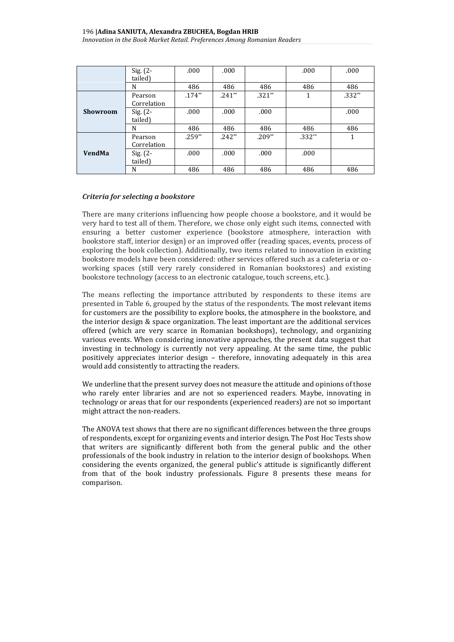|                 | Sig. (2-<br>tailed)    | .000     | .000     |          | .000     | .000     |
|-----------------|------------------------|----------|----------|----------|----------|----------|
|                 | N                      | 486      | 486      | 486      | 486      | 486      |
|                 | Pearson<br>Correlation | $.174**$ | $.241**$ | $.321**$ |          | $.332**$ |
| <b>Showroom</b> | Sig. (2-<br>tailed)    | .000     | .000     | .000     |          | .000     |
|                 | N                      | 486      | 486      | 486      | 486      | 486      |
|                 | Pearson<br>Correlation | $.259**$ | $.242**$ | $.209**$ | $.332**$ | 1        |
| <b>VendMa</b>   | Sig. (2-<br>tailed)    | .000     | .000     | .000     | .000     |          |
|                 | N                      | 486      | 486      | 486      | 486      | 486      |

## *Criteria for selecting a bookstore*

There are many criterions influencing how people choose a bookstore, and it would be very hard to test all of them. Therefore, we chose only eight such items, connected with ensuring a better customer experience (bookstore atmosphere, interaction with bookstore staff, interior design) or an improved offer (reading spaces, events, process of exploring the book collection). Additionally, two items related to innovation in existing bookstore models have been considered: other services offered such as a cafeteria or coworking spaces (still very rarely considered in Romanian bookstores) and existing bookstore technology (access to an electronic catalogue, touch screens, etc.).

The means reflecting the importance attributed by respondents to these items are presented in Table 6, grouped by the status of the respondents. The most relevant items for customers are the possibility to explore books, the atmosphere in the bookstore, and the interior design & space organization. The least important are the additional services offered (which are very scarce in Romanian bookshops), technology, and organizing various events. When considering innovative approaches, the present data suggest that investing in technology is currently not very appealing. At the same time, the public positively appreciates interior design – therefore, innovating adequately in this area would add consistently to attracting the readers.

We underline that the present survey does not measure the attitude and opinions of those who rarely enter libraries and are not so experienced readers. Maybe, innovating in technology or areas that for our respondents (experienced readers) are not so important might attract the non-readers.

The ANOVA test shows that there are no significant differences between the three groups of respondents, except for organizing events and interior design. The Post Hoc Tests show that writers are significantly different both from the general public and the other professionals of the book industry in relation to the interior design of bookshops. When considering the events organized, the general public's attitude is significantly different from that of the book industry professionals. Figure 8 presents these means for comparison.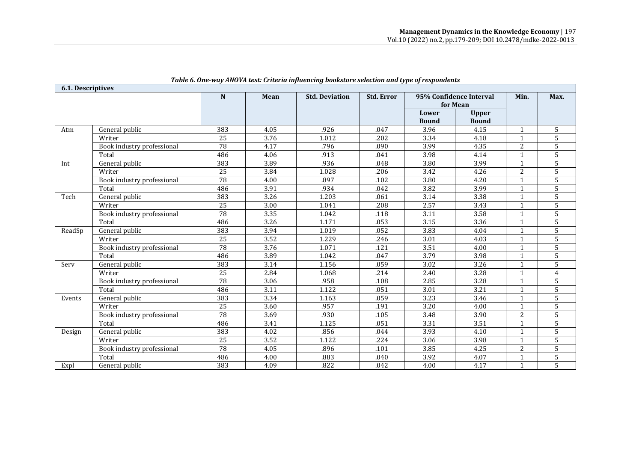|        | 6.1. Descriptives          |     |      |                       |                   |                         |              |                |                |
|--------|----------------------------|-----|------|-----------------------|-------------------|-------------------------|--------------|----------------|----------------|
|        |                            | N   | Mean | <b>Std. Deviation</b> | <b>Std. Error</b> | 95% Confidence Interval |              | Min.           | Max.           |
|        |                            |     |      |                       |                   | for Mean                |              |                |                |
|        |                            |     |      |                       |                   | Lower                   | <b>Upper</b> |                |                |
|        |                            |     |      |                       |                   | <b>Bound</b>            | <b>Bound</b> |                |                |
| Atm    | General public             | 383 | 4.05 | .926                  | .047              | 3.96                    | 4.15         | 1              | 5              |
|        | Writer                     | 25  | 3.76 | 1.012                 | .202              | 3.34                    | 4.18         | 1              | 5              |
|        | Book industry professional | 78  | 4.17 | .796                  | .090              | 3.99                    | 4.35         | $\overline{2}$ | 5              |
|        | Total                      | 486 | 4.06 | .913                  | .041              | 3.98                    | 4.14         | 1              | 5              |
| Int    | General public             | 383 | 3.89 | .936                  | .048              | 3.80                    | 3.99         | $\mathbf 1$    | 5              |
|        | Writer                     | 25  | 3.84 | 1.028                 | .206              | 3.42                    | 4.26         | 2              | 5              |
|        | Book industry professional | 78  | 4.00 | .897                  | .102              | 3.80                    | 4.20         | $\mathbf 1$    | 5              |
|        | Total                      | 486 | 3.91 | .934                  | .042              | 3.82                    | 3.99         |                | 5              |
| Tech   | General public             | 383 | 3.26 | 1.203                 | .061              | 3.14                    | 3.38         |                | 5              |
|        | Writer                     | 25  | 3.00 | 1.041                 | .208              | 2.57                    | 3.43         |                | 5              |
|        | Book industry professional | 78  | 3.35 | 1.042                 | .118              | 3.11                    | 3.58         | -1             | 5              |
|        | Total                      | 486 | 3.26 | 1.171                 | .053              | 3.15                    | 3.36         | $\mathbf 1$    | 5              |
| ReadSp | General public             | 383 | 3.94 | 1.019                 | .052              | 3.83                    | 4.04         |                | 5              |
|        | Writer                     | 25  | 3.52 | 1.229                 | .246              | 3.01                    | 4.03         | 1              | 5              |
|        | Book industry professional | 78  | 3.76 | 1.071                 | .121              | 3.51                    | 4.00         | $\mathbf{1}$   | 5              |
|        | Total                      | 486 | 3.89 | 1.042                 | .047              | 3.79                    | 3.98         |                | 5              |
| Serv   | General public             | 383 | 3.14 | 1.156                 | .059              | 3.02                    | 3.26         |                | 5              |
|        | Writer                     | 25  | 2.84 | 1.068                 | .214              | 2.40                    | 3.28         |                | 4              |
|        | Book industry professional | 78  | 3.06 | .958                  | .108              | 2.85                    | 3.28         | $\mathbf{1}$   | 5              |
|        | Total                      | 486 | 3.11 | 1.122                 | .051              | 3.01                    | 3.21         | -1             | 5              |
| Events | General public             | 383 | 3.34 | 1.163                 | .059              | 3.23                    | 3.46         | $\mathbf{1}$   | 5              |
|        | Writer                     | 25  | 3.60 | .957                  | .191              | 3.20                    | 4.00         |                | 5              |
|        | Book industry professional | 78  | 3.69 | .930                  | .105              | 3.48                    | 3.90         | $\overline{2}$ | 5              |
|        | Total                      | 486 | 3.41 | 1.125                 | .051              | 3.31                    | 3.51         | 1              | $\overline{5}$ |
| Design | General public             | 383 | 4.02 | .856                  | .044              | 3.93                    | 4.10         | -1             | 5              |
|        | Writer                     | 25  | 3.52 | 1.122                 | .224              | 3.06                    | 3.98         |                | 5              |
|        | Book industry professional | 78  | 4.05 | .896                  | .101              | 3.85                    | 4.25         | 2              | 5              |
|        | Total                      | 486 | 4.00 | .883                  | .040              | 3.92                    | 4.07         |                | 5              |
| Expl   | General public             | 383 | 4.09 | .822                  | .042              | 4.00                    | 4.17         |                | 5              |

#### *Table 6. One-way ANOVA test: Criteria influencing bookstore selection and type of respondents*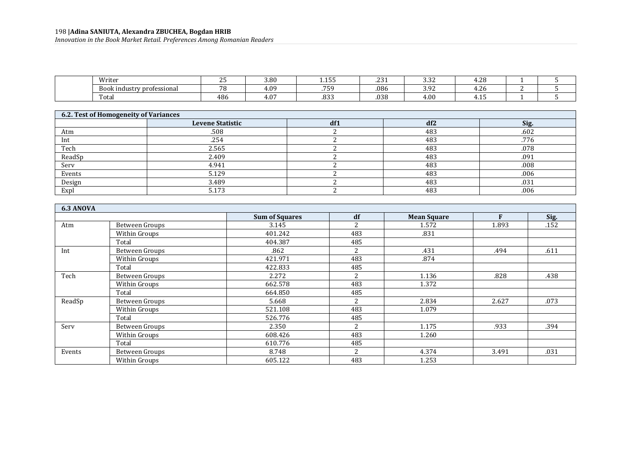#### 198 **|Adina SANIUTA, Alexandra ZBUCHEA, Bogdan HRIB** *Innovation in the Book Market Retail. Preferences Among Romanian Readers*

| Writer                         | --<br><u>.</u> | $\sim$ $\sim$ $\sim$<br>x<br>J.UU | ----<br>⊥.⊥∪ ∪            | $\sim$<br>. ٻي | $\sim$ $\sim$ $\sim$<br>، ن.   | $\sim$<br>1.4 J |  |
|--------------------------------|----------------|-----------------------------------|---------------------------|----------------|--------------------------------|-----------------|--|
| Boo<br>k industry professional | $\neg$ $\cap$  | $+06$                             | $F - G$                   | .086           | ∽<br>$\sim$ $\sim$<br>. .<br>ັ | 1.4 L           |  |
| Fota                           | 486            | $+0$ <sup>-</sup>                 | 0 <sup>0</sup><br>. U J J | .038           | 4.0(                           | .               |  |

| 6.2. Test of Homogeneity of Variances |                         |     |                 |      |  |  |  |  |
|---------------------------------------|-------------------------|-----|-----------------|------|--|--|--|--|
|                                       | <b>Levene Statistic</b> | df1 | df <sub>2</sub> | Sig. |  |  |  |  |
| Atm                                   | .508                    |     | 483             | .602 |  |  |  |  |
| Int                                   | .254                    |     | 483             | .776 |  |  |  |  |
| Tech                                  | 2.565                   |     | 483             | .078 |  |  |  |  |
| ReadSp                                | 2.409                   |     | 483             | .091 |  |  |  |  |
| Serv                                  | 4.941                   |     | 483             | .008 |  |  |  |  |
| Events                                | 5.129                   |     | 483             | .006 |  |  |  |  |
| Design                                | 3.489                   |     | 483             | .031 |  |  |  |  |
| Expl                                  | 5.173                   |     | 483             | .006 |  |  |  |  |

| 6.3 ANOVA |                |                       |                |                    |       |      |
|-----------|----------------|-----------------------|----------------|--------------------|-------|------|
|           |                | <b>Sum of Squares</b> | df             | <b>Mean Square</b> | F     | Sig. |
| Atm       | Between Groups | 3.145                 | 2              | 1.572              | 1.893 | .152 |
|           | Within Groups  | 401.242               | 483            | .831               |       |      |
|           | Total          | 404.387               | 485            |                    |       |      |
| Int       | Between Groups | .862                  | 2              | .431               | .494  | .611 |
|           | Within Groups  | 421.971               | 483            | .874               |       |      |
|           | Total          | 422.833               | 485            |                    |       |      |
| Tech      | Between Groups | 2.272                 | 2              | 1.136              | .828  | .438 |
|           | Within Groups  | 662.578               | 483            | 1.372              |       |      |
|           | Total          | 664.850               | 485            |                    |       |      |
| ReadSp    | Between Groups | 5.668                 | 2              | 2.834              | 2.627 | .073 |
|           | Within Groups  | 521.108               | 483            | 1.079              |       |      |
|           | Total          | 526.776               | 485            |                    |       |      |
| Serv      | Between Groups | 2.350                 | 2              | 1.175              | .933  | .394 |
|           | Within Groups  | 608.426               | 483            | 1.260              |       |      |
|           | Total          | 610.776               | 485            |                    |       |      |
| Events    | Between Groups | 8.748                 | $\overline{c}$ | 4.374              | 3.491 | .031 |
|           | Within Groups  | 605.122               | 483            | 1.253              |       |      |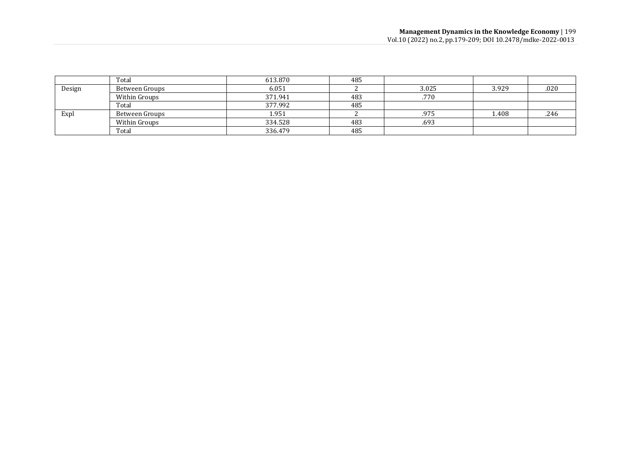|        | Total          | 613.870 | 485 |       |       |      |
|--------|----------------|---------|-----|-------|-------|------|
| Design | Between Groups | 6.051   |     | 3.025 | 3.929 | .020 |
|        | Within Groups  | 371.941 | 483 | .770  |       |      |
|        | Total          | 377.992 | 485 |       |       |      |
| Expl   | Between Groups | 1.951   |     | .975  | 1.408 | .246 |
|        | Within Groups  | 334.528 | 483 | .693  |       |      |
|        | Total          | 336.479 | 485 |       |       |      |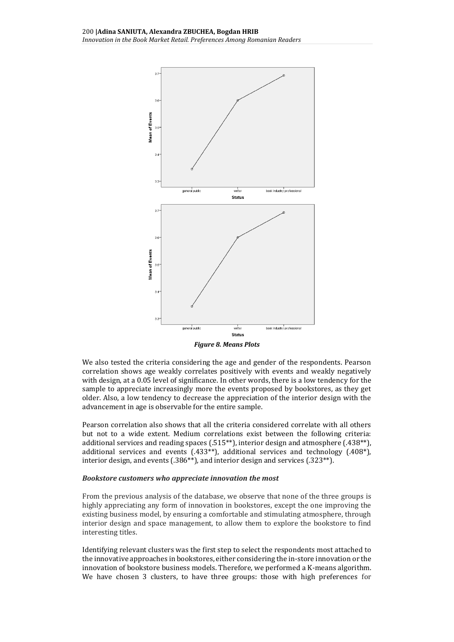

We also tested the criteria considering the age and gender of the respondents. Pearson correlation shows age weakly correlates positively with events and weakly negatively with design, at a 0.05 level of significance. In other words, there is a low tendency for the sample to appreciate increasingly more the events proposed by bookstores, as they get older. Also, a low tendency to decrease the appreciation of the interior design with the advancement in age is observable for the entire sample.

Pearson correlation also shows that all the criteria considered correlate with all others but not to a wide extent. Medium correlations exist between the following criteria: additional services and reading spaces (.515\*\*), interior design and atmosphere (.438\*\*), additional services and events  $(.433**)$ , additional services and technology  $(.408*)$ , interior design, and events (.386\*\*), and interior design and services (.323\*\*).

## *Bookstore customers who appreciate innovation the most*

From the previous analysis of the database, we observe that none of the three groups is highly appreciating any form of innovation in bookstores, except the one improving the existing business model, by ensuring a comfortable and stimulating atmosphere, through interior design and space management, to allow them to explore the bookstore to find interesting titles.

Identifying relevant clusters was the first step to select the respondents most attached to the innovative approaches in bookstores, either considering the in-store innovation or the innovation of bookstore business models. Therefore, we performed a K-means algorithm. We have chosen 3 clusters, to have three groups: those with high preferences for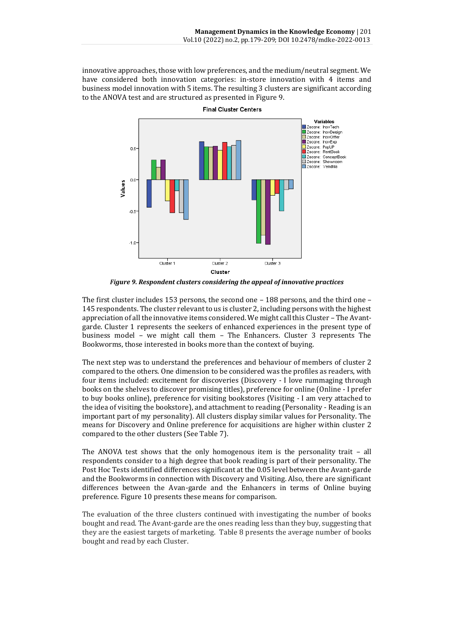innovative approaches, those with low preferences, and the medium/neutral segment. We have considered both innovation categories: in-store innovation with 4 items and business model innovation with 5 items. The resulting 3 clusters are significant according to the ANOVA test and are structured as presented in Figure 9.



*Figure 9. Respondent clusters considering the appeal of innovative practices*

The first cluster includes 153 persons, the second one – 188 persons, and the third one – 145 respondents. The cluster relevant to us is cluster 2, including persons with the highest appreciation of all the innovative items considered. We might call this Cluster – The Avantgarde. Cluster 1 represents the seekers of enhanced experiences in the present type of business model – we might call them – The Enhancers. Cluster 3 represents The Bookworms, those interested in books more than the context of buying.

The next step was to understand the preferences and behaviour of members of cluster 2 compared to the others. One dimension to be considered was the profiles as readers, with four items included: excitement for discoveries (Discovery - I love rummaging through books on the shelves to discover promising titles), preference for online (Online - I prefer to buy books online), preference for visiting bookstores (Visiting - I am very attached to the idea of visiting the bookstore), and attachment to reading (Personality - Reading is an important part of my personality). All clusters display similar values for Personality. The means for Discovery and Online preference for acquisitions are higher within cluster 2 compared to the other clusters (See Table 7).

The ANOVA test shows that the only homogenous item is the personality trait – all respondents consider to a high degree that book reading is part of their personality. The Post Hoc Tests identified differences significant at the 0.05 level between the Avant-garde and the Bookworms in connection with Discovery and Visiting. Also, there are significant differences between the Avan-garde and the Enhancers in terms of Online buying preference. Figure 10 presents these means for comparison.

The evaluation of the three clusters continued with investigating the number of books bought and read. The Avant-garde are the ones reading less than they buy, suggesting that they are the easiest targets of marketing. Table 8 presents the average number of books bought and read by each Cluster.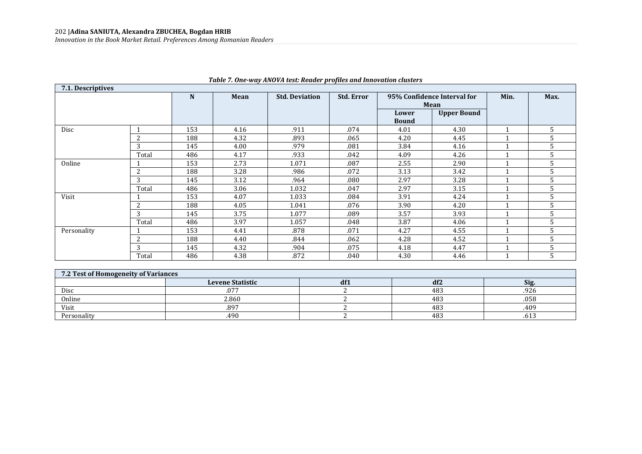| 7.1. Descriptives |                |     |                                                                                           | , abit : : ont n'aj mio : n test. nouat. p. opies una milor ation elasters |      |                       |                    |  |   |
|-------------------|----------------|-----|-------------------------------------------------------------------------------------------|----------------------------------------------------------------------------|------|-----------------------|--------------------|--|---|
|                   |                | N   | <b>Std. Error</b><br>95% Confidence Interval for<br><b>Std. Deviation</b><br>Mean<br>Mean |                                                                            | Min. | Max.                  |                    |  |   |
|                   |                |     |                                                                                           |                                                                            |      | Lower<br><b>Bound</b> | <b>Upper Bound</b> |  |   |
| Disc              |                | 153 | 4.16                                                                                      | .911                                                                       | .074 | 4.01                  | 4.30               |  | 5 |
|                   | 2              | 188 | 4.32                                                                                      | .893                                                                       | .065 | 4.20                  | 4.45               |  |   |
|                   | 3              | 145 | 4.00                                                                                      | .979                                                                       | .081 | 3.84                  | 4.16               |  | 5 |
|                   | Total          | 486 | 4.17                                                                                      | .933                                                                       | .042 | 4.09                  | 4.26               |  | 5 |
| Online            |                | 153 | 2.73                                                                                      | 1.071                                                                      | .087 | 2.55                  | 2.90               |  | 5 |
|                   | $\overline{2}$ | 188 | 3.28                                                                                      | .986                                                                       | .072 | 3.13                  | 3.42               |  |   |
|                   | 3              | 145 | 3.12                                                                                      | .964                                                                       | .080 | 2.97                  | 3.28               |  | 5 |
|                   | Total          | 486 | 3.06                                                                                      | 1.032                                                                      | .047 | 2.97                  | 3.15               |  | 5 |
| Visit             |                | 153 | 4.07                                                                                      | 1.033                                                                      | .084 | 3.91                  | 4.24               |  | 5 |
|                   | $\overline{2}$ | 188 | 4.05                                                                                      | 1.041                                                                      | .076 | 3.90                  | 4.20               |  |   |
|                   | 3              | 145 | 3.75                                                                                      | 1.077                                                                      | .089 | 3.57                  | 3.93               |  |   |
|                   | Total          | 486 | 3.97                                                                                      | 1.057                                                                      | .048 | 3.87                  | 4.06               |  |   |
| Personality       |                | 153 | 4.41                                                                                      | .878                                                                       | .071 | 4.27                  | 4.55               |  | 5 |
|                   | $\overline{c}$ | 188 | 4.40                                                                                      | .844                                                                       | .062 | 4.28                  | 4.52               |  |   |
|                   | 3              | 145 | 4.32                                                                                      | .904                                                                       | .075 | 4.18                  | 4.47               |  |   |
|                   | Total          | 486 | 4.38                                                                                      | .872                                                                       | .040 | 4.30                  | 4.46               |  |   |

## *Table 7. One-way ANOVA test: Reader profiles and Innovation clusters*

| 7.2 Test of Homogeneity of Variances |                         |     |     |      |  |  |  |  |
|--------------------------------------|-------------------------|-----|-----|------|--|--|--|--|
|                                      | <b>Levene Statistic</b> | df1 | df2 | Sig. |  |  |  |  |
| Disc                                 | .077                    |     | 483 | .926 |  |  |  |  |
| Online                               | 2.860                   |     | 483 | .058 |  |  |  |  |
| Visit                                | .897                    |     | 483 | .409 |  |  |  |  |
| Personality                          | .490                    |     | 483 | .bl3 |  |  |  |  |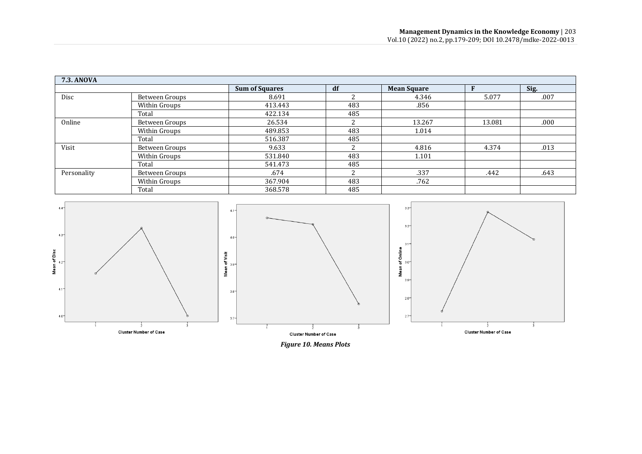| <b>7.3. ANOVA</b> |                |                       |     |                    |        |      |
|-------------------|----------------|-----------------------|-----|--------------------|--------|------|
|                   |                | <b>Sum of Squares</b> | df  | <b>Mean Square</b> |        | Sig. |
| Disc              | Between Groups | 8.691                 |     | 4.346              | 5.077  | .007 |
|                   | Within Groups  | 413.443               | 483 | .856               |        |      |
|                   | Total          | 422.134               | 485 |                    |        |      |
| Online            | Between Groups | 26.534                | n.  | 13.267             | 13.081 | .000 |
|                   | Within Groups  | 489.853               | 483 | 1.014              |        |      |
|                   | Total          | 516.387               | 485 |                    |        |      |
| Visit             | Between Groups | 9.633                 |     | 4.816              | 4.374  | .013 |
|                   | Within Groups  | 531.840               | 483 | 1.101              |        |      |
|                   | Total          | 541.473               | 485 |                    |        |      |
| Personality       | Between Groups | .674                  |     | .337               | .442   | .643 |
|                   | Within Groups  | 367.904               | 483 | .762               |        |      |
|                   | Total          | 368.578               | 485 |                    |        |      |



*Figure 10. Means Plots*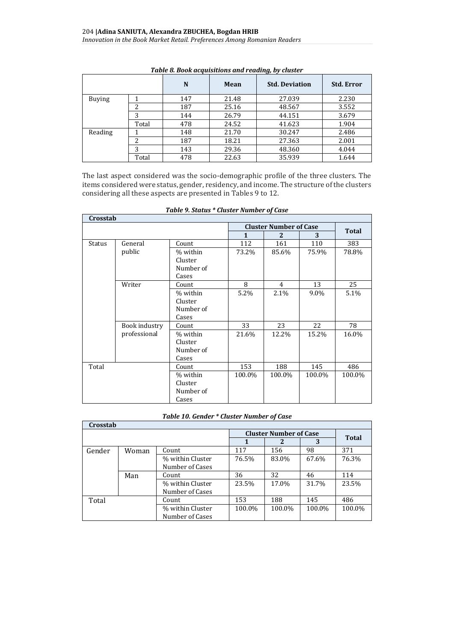|               |       |     |       | $\mathbf{v}$          |                   |
|---------------|-------|-----|-------|-----------------------|-------------------|
|               |       | N   | Mean  | <b>Std. Deviation</b> | <b>Std. Error</b> |
| <b>Buying</b> |       | 147 | 21.48 | 27.039                | 2.230             |
|               | 2     | 187 | 25.16 | 48.567                | 3.552             |
|               | 3     | 144 | 26.79 | 44.151                | 3.679             |
|               | Total | 478 | 24.52 | 41.623                | 1.904             |
| Reading       |       | 148 | 21.70 | 30.247                | 2.486             |
|               | 2     | 187 | 18.21 | 27.363                | 2.001             |
|               | 3     | 143 | 29.36 | 48.360                | 4.044             |
|               | Total | 478 | 22.63 | 35.939                | 1.644             |

*Table 8. Book acquisitions and reading, by cluster*

The last aspect considered was the socio-demographic profile of the three clusters. The items considered were status, gender, residency, and income. The structure of the clusters considering all these aspects are presented in Tables 9 to 12.

|               | Crosstab      |           |              |                               |        |              |  |  |  |  |
|---------------|---------------|-----------|--------------|-------------------------------|--------|--------------|--|--|--|--|
|               |               |           |              | <b>Cluster Number of Case</b> |        | <b>Total</b> |  |  |  |  |
|               |               |           | $\mathbf{1}$ | 2                             | 3      |              |  |  |  |  |
| <b>Status</b> | General       | Count     | 112          | 161                           | 110    | 383          |  |  |  |  |
|               | public        | % within  | 73.2%        | 85.6%                         | 75.9%  | 78.8%        |  |  |  |  |
|               |               | Cluster   |              |                               |        |              |  |  |  |  |
|               |               | Number of |              |                               |        |              |  |  |  |  |
|               |               | Cases     |              |                               |        |              |  |  |  |  |
|               | Writer        | Count     | 8            | 4                             | 13     | 25           |  |  |  |  |
|               |               | % within  | 5.2%         | 2.1%                          | 9.0%   | 5.1%         |  |  |  |  |
|               |               | Cluster   |              |                               |        |              |  |  |  |  |
|               |               | Number of |              |                               |        |              |  |  |  |  |
|               |               | Cases     |              |                               |        |              |  |  |  |  |
|               | Book industry | Count     | 33           | 23                            | 22     | 78           |  |  |  |  |
|               | professional  | % within  | 21.6%        | 12.2%                         | 15.2%  | 16.0%        |  |  |  |  |
|               |               | Cluster   |              |                               |        |              |  |  |  |  |
|               |               | Number of |              |                               |        |              |  |  |  |  |
|               |               | Cases     |              |                               |        |              |  |  |  |  |
| Total         |               | Count     | 153          | 188                           | 145    | 486          |  |  |  |  |
|               |               | % within  | 100.0%       | 100.0%                        | 100.0% | 100.0%       |  |  |  |  |
|               |               | Cluster   |              |                               |        |              |  |  |  |  |
|               |               | Number of |              |                               |        |              |  |  |  |  |
|               |               | Cases     |              |                               |        |              |  |  |  |  |

*Table 9. Status \* Cluster Number of Case*

#### *Table 10. Gender \* Cluster Number of Case*

| Crosstab |       |                  |        |                               |        |              |  |  |  |
|----------|-------|------------------|--------|-------------------------------|--------|--------------|--|--|--|
|          |       |                  |        | <b>Cluster Number of Case</b> |        | <b>Total</b> |  |  |  |
|          |       |                  |        |                               | 3      |              |  |  |  |
| Gender   | Woman | Count            | 117    | 156                           | 98     | 371          |  |  |  |
|          |       | % within Cluster | 76.5%  | 83.0%                         | 67.6%  | 76.3%        |  |  |  |
|          |       | Number of Cases  |        |                               |        |              |  |  |  |
|          | Man   | Count            | 36     | 32                            | 46     | 114          |  |  |  |
|          |       | % within Cluster | 23.5%  | 17.0%                         | 31.7%  | 23.5%        |  |  |  |
|          |       | Number of Cases  |        |                               |        |              |  |  |  |
| Total    |       | Count            | 153    | 188                           | 145    | 486          |  |  |  |
|          |       | % within Cluster | 100.0% | 100.0%                        | 100.0% | 100.0%       |  |  |  |
|          |       | Number of Cases  |        |                               |        |              |  |  |  |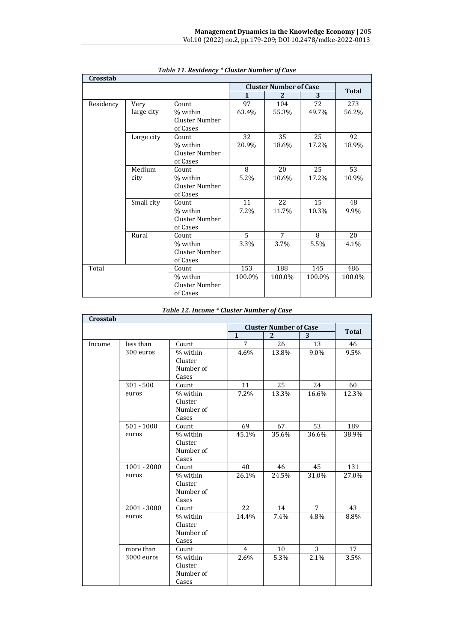| Crosstab  |            |                |                |                               |        |        |
|-----------|------------|----------------|----------------|-------------------------------|--------|--------|
|           |            |                |                | <b>Cluster Number of Case</b> |        | Total  |
|           |            |                | $\mathbf{1}$   | 2                             | 3      |        |
| Residency | Very       | Count          | 97             | 104                           | 72     | 273    |
|           | large city | % within       | 63.4%          | 55.3%                         | 49.7%  | 56.2%  |
|           |            | Cluster Number |                |                               |        |        |
|           |            | of Cases       |                |                               |        |        |
|           | Large city | Count          | 32             | 35                            | 25     | 92     |
|           |            | % within       | 20.9%          | 18.6%                         | 17.2%  | 18.9%  |
|           |            | Cluster Number |                |                               |        |        |
|           |            | of Cases       |                |                               |        |        |
|           | Medium     | Count          | 8              | 20                            | 25     | 53     |
|           | city       | % within       | 5.2%           | 10.6%                         | 17.2%  | 10.9%  |
|           |            | Cluster Number |                |                               |        |        |
|           |            | of Cases       |                |                               |        |        |
|           | Small city | Count          | 11             | 22                            | 15     | 48     |
|           |            | % within       | 7.2%           | 11.7%                         | 10.3%  | 9.9%   |
|           |            | Cluster Number |                |                               |        |        |
|           |            | of Cases       |                |                               |        |        |
|           | Rural      | Count          | $\overline{5}$ | $\overline{7}$                | 8      | 20     |
|           |            | % within       | 3.3%           | 3.7%                          | 5.5%   | 4.1%   |
|           |            | Cluster Number |                |                               |        |        |
|           |            | of Cases       |                |                               |        |        |
| Total     |            | Count          | 153            | 188                           | 145    | 486    |
|           |            | % within       | 100.0%         | 100.0%                        | 100.0% | 100.0% |
|           |            | Cluster Number |                |                               |        |        |
|           |            | of Cases       |                |                               |        |        |

## *Table 11. Residency \* Cluster Number of Case*

## *Table 12. Income \* Cluster Number of Case*

| Crosstab |               |                      |                |                               |                |              |
|----------|---------------|----------------------|----------------|-------------------------------|----------------|--------------|
|          |               |                      |                | <b>Cluster Number of Case</b> |                | <b>Total</b> |
|          |               |                      | $\mathbf{1}$   | 2                             | 3              |              |
| Income   | less than     | Count                | $\overline{7}$ | 26                            | 13             | 46           |
|          | 300 euros     | % within             | 4.6%           | 13.8%                         | $9.0\%$        | 9.5%         |
|          |               | Cluster              |                |                               |                |              |
|          |               | Number of            |                |                               |                |              |
|          |               | Cases                |                |                               |                |              |
|          | $301 - 500$   | Count                | 11             | 25                            | 24             | 60           |
|          | euros         | % within             | 7.2%           | 13.3%                         | 16.6%          | 12.3%        |
|          |               | Cluster              |                |                               |                |              |
|          |               | Number of            |                |                               |                |              |
|          |               | Cases                |                |                               |                |              |
|          | $501 - 1000$  | Count                | 69             | 67                            | 53             | 189          |
|          | euros         | % within             | 45.1%          | 35.6%                         | 36.6%          | 38.9%        |
|          |               | Cluster              |                |                               |                |              |
|          |               | Number of            |                |                               |                |              |
|          |               | Cases                |                |                               |                |              |
|          | $1001 - 2000$ | Count                | 40             | 46                            | 45             | 131          |
|          | euros         | % within             | 26.1%          | 24.5%                         | 31.0%          | 27.0%        |
|          |               | Cluster              |                |                               |                |              |
|          |               | Number of            |                |                               |                |              |
|          |               | Cases                |                |                               |                |              |
|          | $2001 - 3000$ | Count                | 22             | 14                            | 7              | 43           |
|          | euros         | % within             | 14.4%          | 7.4%                          | 4.8%           | 8.8%         |
|          |               | Cluster              |                |                               |                |              |
|          |               | Number of            |                |                               |                |              |
|          |               | Cases                |                |                               | $\overline{3}$ |              |
|          | more than     | Count                | $\overline{4}$ | 10                            |                | 17           |
|          | 3000 euros    | % within             | 2.6%           | 5.3%                          | 2.1%           | 3.5%         |
|          |               | Cluster<br>Number of |                |                               |                |              |
|          |               | Cases                |                |                               |                |              |
|          |               |                      |                |                               |                |              |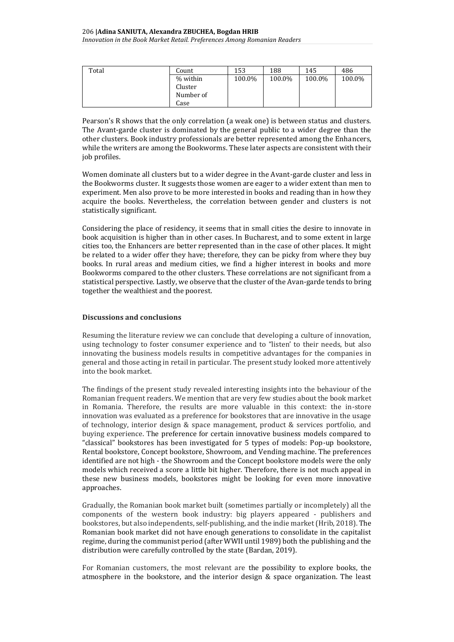| Total | Count     | 153    | 188    | 145    | 486    |
|-------|-----------|--------|--------|--------|--------|
|       | % within  | 100.0% | 100.0% | 100.0% | 100.0% |
|       | Cluster   |        |        |        |        |
|       | Number of |        |        |        |        |
|       | Case      |        |        |        |        |

Pearson's R shows that the only correlation (a weak one) is between status and clusters. The Avant-garde cluster is dominated by the general public to a wider degree than the other clusters. Book industry professionals are better represented among the Enhancers, while the writers are among the Bookworms. These later aspects are consistent with their job profiles.

Women dominate all clusters but to a wider degree in the Avant-garde cluster and less in the Bookworms cluster. It suggests those women are eager to a wider extent than men to experiment. Men also prove to be more interested in books and reading than in how they acquire the books. Nevertheless, the correlation between gender and clusters is not statistically significant.

Considering the place of residency, it seems that in small cities the desire to innovate in book acquisition is higher than in other cases. In Bucharest, and to some extent in large cities too, the Enhancers are better represented than in the case of other places. It might be related to a wider offer they have; therefore, they can be picky from where they buy books. In rural areas and medium cities, we find a higher interest in books and more Bookworms compared to the other clusters. These correlations are not significant from a statistical perspective. Lastly, we observe that the cluster of the Avan-garde tends to bring together the wealthiest and the poorest.

#### **Discussions and conclusions**

Resuming the literature review we can conclude that developing a culture of innovation, using technology to foster consumer experience and to "listen' to their needs, but also innovating the business models results in competitive advantages for the companies in general and those acting in retail in particular. The present study looked more attentively into the book market.

The findings of the present study revealed interesting insights into the behaviour of the Romanian frequent readers. We mention that are very few studies about the book market in Romania. Therefore, the results are more valuable in this context: the in-store innovation was evaluated as a preference for bookstores that are innovative in the usage of technology, interior design & space management, product & services portfolio, and buying experience. The preference for certain innovative business models compared to "classical" bookstores has been investigated for 5 types of models: Pop-up bookstore, Rental bookstore, Concept bookstore, Showroom, and Vending machine. The preferences identified are not high - the Showroom and the Concept bookstore models were the only models which received a score a little bit higher. Therefore, there is not much appeal in these new business models, bookstores might be looking for even more innovative approaches.

Gradually, the Romanian book market built (sometimes partially or incompletely) all the components of the western book industry: big players appeared - publishers and bookstores, but also independents, self-publishing, and the indie market (Hrib, 2018). The Romanian book market did not have enough generations to consolidate in the capitalist regime, during the communist period (after WWII until 1989) both the publishing and the distribution were carefully controlled by the state (Bardan, 2019).

For Romanian customers, the most relevant are the possibility to explore books, the atmosphere in the bookstore, and the interior design & space organization. The least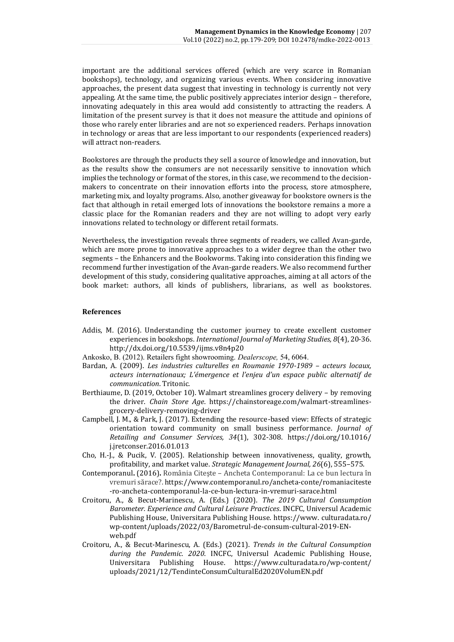important are the additional services offered (which are very scarce in Romanian bookshops), technology, and organizing various events. When considering innovative approaches, the present data suggest that investing in technology is currently not very appealing. At the same time, the public positively appreciates interior design – therefore, innovating adequately in this area would add consistently to attracting the readers. A limitation of the present survey is that it does not measure the attitude and opinions of those who rarely enter libraries and are not so experienced readers. Perhaps innovation in technology or areas that are less important to our respondents (experienced readers) will attract non-readers.

Bookstores are through the products they sell a source of knowledge and innovation, but as the results show the consumers are not necessarily sensitive to innovation which implies the technology or format of the stores, in this case, we recommend to the decisionmakers to concentrate on their innovation efforts into the process, store atmosphere, marketing mix, and loyalty programs. Also, another giveaway for bookstore owners is the fact that although in retail emerged lots of innovations the bookstore remains a more a classic place for the Romanian readers and they are not willing to adopt very early innovations related to technology or different retail formats.

Nevertheless, the investigation reveals three segments of readers, we called Avan-garde, which are more prone to innovative approaches to a wider degree than the other two segments – the Enhancers and the Bookworms. Taking into consideration this finding we recommend further investigation of the Avan-garde readers. We also recommend further development of this study, considering qualitative approaches, aiming at all actors of the book market: authors, all kinds of publishers, librarians, as well as bookstores.

#### **References**

- Addis, M. (2016). Understanding the customer journey to create excellent customer experiences in bookshops. *International Journal of Marketing Studies, 8*(4), 20-36. <http://dx.doi.org/10.5539/ijms.v8n4p20>
- Ankosko, B. (2012). Retailers fight showrooming. *Dealerscope,* 54, 6064.
- Bardan, A. (2009). *Les industries culturelles en Roumanie 1970-1989 acteurs locaux, acteurs internationaux; L'émergence et l'enjeu d'un espace public alternatif de communication*. Tritonic.
- Berthiaume, D. (2019, October 10). Walmart streamlines grocery delivery by removing the driver. *Chain Store Age*. [https://chainstoreage.com/walmart-streamlines](https://chainstoreage.com/walmart-streamlines-grocery-delivery-removing-driver)[grocery-delivery-removing-driver](https://chainstoreage.com/walmart-streamlines-grocery-delivery-removing-driver)
- Campbell, J. M., & Park, J. (2017). Extending the resource-based view: Effects of strategic orientation toward community on small business performance. *Journal of Retailing and Consumer Services, 34*(1), 302-308. [https://doi.org/10.1016/](https://doi.org/10.1016/j.jretconser.2016.01.013) [j.jretconser.2016.01.013](https://doi.org/10.1016/j.jretconser.2016.01.013)
- Cho, H.-J., & Pucik, V. (2005). Relationship between innovativeness, quality, growth, profitability, and market value. *Strategic Management Journal, 26*(6), 555–575.
- Contemporanul**.** (2016)**.** România Citeşte Ancheta Contemporanul: La ce bun lectura în vremuri sărace?. [https://www.contemporanul.ro/ancheta-conte/romaniaciteste](https://www.contemporanul.ro/ancheta-conte/romaniaciteste%20-ro-ancheta-contemporanul-la-ce-bun-lectura-in-vremuri-sarace.html) [-ro-ancheta-contemporanul-la-ce-bun-lectura-in-vremuri-sarace.html](https://www.contemporanul.ro/ancheta-conte/romaniaciteste%20-ro-ancheta-contemporanul-la-ce-bun-lectura-in-vremuri-sarace.html)
- Croitoru, A., & Becut-Marinescu, A. (Eds.) (2020). *The 2019 Cultural Consumption Barometer. Experience and Cultural Leisure Practices*. INCFC, Universul Academic Publishing House, Universitara Publishing House. https://www. culturadata.ro/ wp-content/uploads/2022/03/Barometrul-de-consum-cultural-2019-ENweb.pdf
- Croitoru, A., & Becut-Marinescu, A. (Eds.) (2021). *Trends in the Cultural Consumption during the Pandemic. 2020*. INCFC, Universul Academic Publishing House, Universitara Publishing House. [https://www.culturadata.ro/wp-content/](https://www.culturadata.ro/wp-content/uploads/2021/12/TendinteConsumCulturalEd2020VolumEN.pdf) [uploads/2021/12/TendinteConsumCulturalEd2020VolumEN.pdf](https://www.culturadata.ro/wp-content/uploads/2021/12/TendinteConsumCulturalEd2020VolumEN.pdf)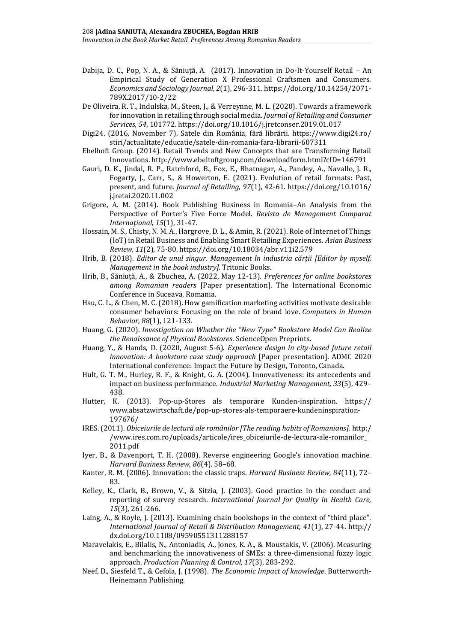- Dabija, D. C., Pop, N. A., & Săniuță, A. (2017). Innovation in Do-It-Yourself Retail An Empirical Study of Generation X Professional Craftsmen and Consumers. *Economics and Sociology Journal*, *2*(1), 296-311[. https://doi.org/10.14254/2071-](https://doi.org/10.14254/2071-789X.2017/10-2/22) [789X.2017/10-2/22](https://doi.org/10.14254/2071-789X.2017/10-2/22)
- De Oliveira, R. T., Indulska, M., Steen, J., & Verreynne, M. L. (2020). Towards a framework for innovation in retailing through social media. *Journal of Retailing and Consumer Services, 54*, 101772. <https://doi.org/10.1016/j.jretconser.2019.01.017>
- Digi24. (2016, November 7). Satele din România, fără librării. https://www.digi24.ro/ stiri/actualitate/educatie/satele-din-romania-fara-librarii-607311
- Ebelhoft Group. (2014). Retail Trends and New Concepts that are Transforming Retail Innovations. [http://www.ebeltoftgroup.com/downloadform.html?cID=146791](http://‌/‌www.ebeltoftgroup.com/‌downloadform.‌html?cID=‌146‌791)
- Gauri, D. K., Jindal, R. P., Ratchford, B., Fox, E., Bhatnagar, A., Pandey, A., Navallo, J. R., Fogarty, J., Carr, S., & Howerton, E. (2021). Evolution of retail formats: Past, present, and future. *Journal of Retailing, 97*(1), 42-61. [https://doi.org/10.1016/](https://doi.org/10.1016/j.jretai.2020.11.002) [j.jretai.2020.11.002](https://doi.org/10.1016/j.jretai.2020.11.002)
- Grigore, A. M. (2014). Book Publishing Business in Romania–An Analysis from the Perspective of Porter's Five Force Model. *Revista de Management Comparat Internațional, 15*(1), 31-47.
- Hossain, M. S., Chisty, N. M. A., Hargrove, D. L., & Amin, R. (2021). Role of Internet of Things (IoT) in Retail Business and Enabling Smart Retailing Experiences. *Asian Business Review, 11*(2), 75-80. <https://doi.org/10.18034/abr.v11i2.579>
- Hrib, B. (2018). *Editor de unul singur. Management în industria cărții [Editor by myself. Management in the book industry].* Tritonic Books.
- Hrib, B., Săniuță, A., & Zbuchea, A. (2022, May 12-13). *Preferences for online bookstores among Romanian readers* [Paper presentation]. The International Economic Conference in Suceava, Romania.
- Hsu, C. L., & Chen, M. C. (2018). How gamification marketing activities motivate desirable consumer behaviors: Focusing on the role of brand love. *Computers in Human Behavior, 88*(1), 121-133.
- Huang, G. (2020). *Investigation on Whether the "New Type" Bookstore Model Can Realize the Renaissance of Physical Bookstores*. ScienceOpen Preprints.
- Huang, Y., & Hands, D. (2020, August 5-6). *Experience design in city-based future retail innovation: A bookstore case study approach* [Paper presentation]. ADMC 2020 International conference: Impact the Future by Design, Toronto, Canada.
- Hult, G. T. M., Hurley, R. F., & Knight, G. A. (2004). Innovativeness: its antecedents and impact on business performance. *Industrial Marketing Management, 33*(5), 429– 438.
- Hutter, K. (2013). Pop-up-Stores als temporäre Kunden-inspiration. [https://](https://www.absatzwirtschaft.de/pop-up-stores-als-temporaere-kundeninspiration-197676/) [www.absatzwirtschaft.de/pop-up-stores-als-temporaere-kundeninspiration-](https://www.absatzwirtschaft.de/pop-up-stores-als-temporaere-kundeninspiration-197676/)[197676/](https://www.absatzwirtschaft.de/pop-up-stores-als-temporaere-kundeninspiration-197676/)
- IRES. (2011). *Obiceiurile de lectură ale românilor [The reading habits of Romanians].* [http:/](http://www.ires.com.ro/uploads/articole/ires_obiceiurile-de-lectura-ale-romanilor_2011.pdf) [/www.ires.com.ro/uploads/articole/ires\\_obiceiurile-de-lectura-ale-romanilor\\_](http://www.ires.com.ro/uploads/articole/ires_obiceiurile-de-lectura-ale-romanilor_2011.pdf) [2011.pdf](http://www.ires.com.ro/uploads/articole/ires_obiceiurile-de-lectura-ale-romanilor_2011.pdf)
- Iyer, B., & Davenport, T. H. (2008). Reverse engineering Google's innovation machine. *Harvard Business Review, 86*(4), 58–68.
- Kanter, R. M. (2006). Innovation: the classic traps. *Harvard Business Review, 84*(11), 72– 83.
- Kelley, K., Clark, B., Brown, V., & Sitzia, J. (2003). Good practice in the conduct and reporting of survey research. *International Journal for Quality in Health Care, 15*(3), 261-266.
- Laing, A., & Royle, J. (2013). Examining chain bookshops in the context of "third place". *International Journal of Retail & Distribution Management, 41*(1), 27-44. http:// dx.doi.org/10.1108/09590551311288157
- Maravelakis, E., Bilalis, N., Antoniadis, A., Jones, K. A., & Moustakis, V. (2006). Measuring and benchmarking the innovativeness of SMEs: a three-dimensional fuzzy logic approach. *Production Planning & Control, 17*(3), 283-292.
- Neef, D., Siesfeld T., & Cefola, J. (1998). *The Economic Impact of knowledge*. Butterworth-Heinemann Publishing.